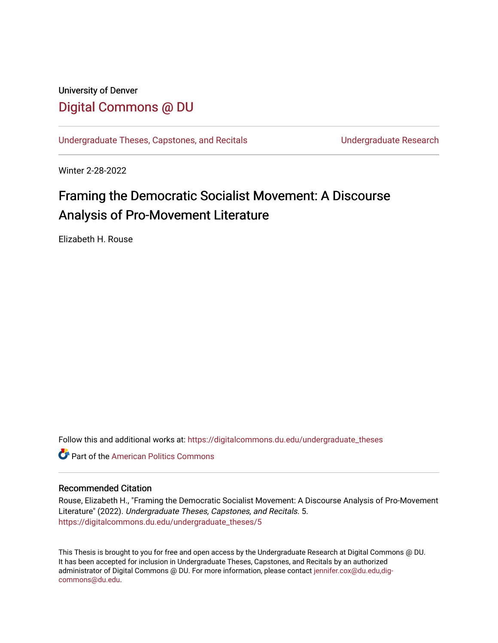### University of Denver [Digital Commons @ DU](https://digitalcommons.du.edu/)

[Undergraduate Theses, Capstones, and Recitals](https://digitalcommons.du.edu/undergraduate_theses) **Entity and September 2018** Undergraduate Research

Winter 2-28-2022

# Framing the Democratic Socialist Movement: A Discourse Analysis of Pro-Movement Literature

Elizabeth H. Rouse

Follow this and additional works at: [https://digitalcommons.du.edu/undergraduate\\_theses](https://digitalcommons.du.edu/undergraduate_theses?utm_source=digitalcommons.du.edu%2Fundergraduate_theses%2F5&utm_medium=PDF&utm_campaign=PDFCoverPages)

**C** Part of the American Politics Commons

#### Recommended Citation

Rouse, Elizabeth H., "Framing the Democratic Socialist Movement: A Discourse Analysis of Pro-Movement Literature" (2022). Undergraduate Theses, Capstones, and Recitals. 5. [https://digitalcommons.du.edu/undergraduate\\_theses/5](https://digitalcommons.du.edu/undergraduate_theses/5?utm_source=digitalcommons.du.edu%2Fundergraduate_theses%2F5&utm_medium=PDF&utm_campaign=PDFCoverPages) 

This Thesis is brought to you for free and open access by the Undergraduate Research at Digital Commons @ DU. It has been accepted for inclusion in Undergraduate Theses, Capstones, and Recitals by an authorized administrator of Digital Commons @ DU. For more information, please contact [jennifer.cox@du.edu,dig](mailto:jennifer.cox@du.edu,dig-commons@du.edu)[commons@du.edu.](mailto:jennifer.cox@du.edu,dig-commons@du.edu)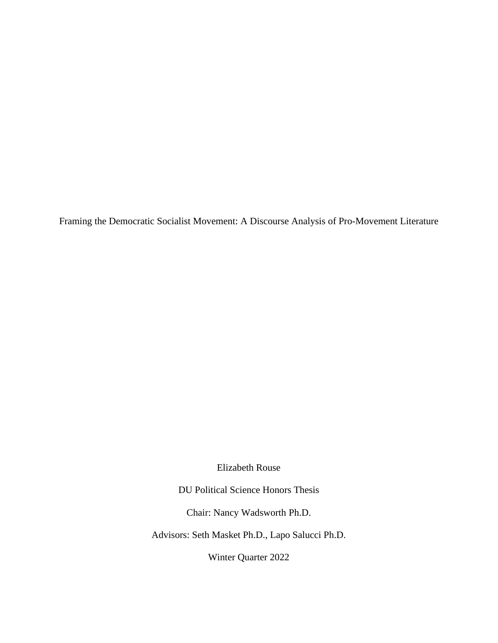Framing the Democratic Socialist Movement: A Discourse Analysis of Pro-Movement Literature

Elizabeth Rouse

DU Political Science Honors Thesis

Chair: Nancy Wadsworth Ph.D.

Advisors: Seth Masket Ph.D., Lapo Salucci Ph.D.

Winter Quarter 2022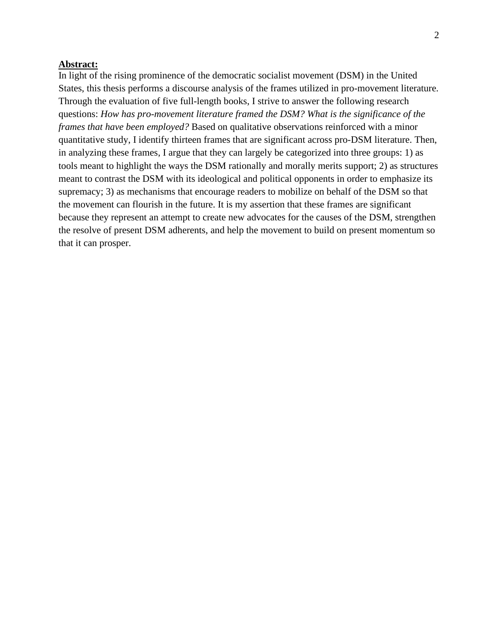#### **Abstract:**

In light of the rising prominence of the democratic socialist movement (DSM) in the United States, this thesis performs a discourse analysis of the frames utilized in pro-movement literature. Through the evaluation of five full-length books, I strive to answer the following research questions: *How has pro-movement literature framed the DSM? What is the significance of the frames that have been employed?* Based on qualitative observations reinforced with a minor quantitative study, I identify thirteen frames that are significant across pro-DSM literature. Then, in analyzing these frames, I argue that they can largely be categorized into three groups: 1) as tools meant to highlight the ways the DSM rationally and morally merits support; 2) as structures meant to contrast the DSM with its ideological and political opponents in order to emphasize its supremacy; 3) as mechanisms that encourage readers to mobilize on behalf of the DSM so that the movement can flourish in the future. It is my assertion that these frames are significant because they represent an attempt to create new advocates for the causes of the DSM, strengthen the resolve of present DSM adherents, and help the movement to build on present momentum so that it can prosper.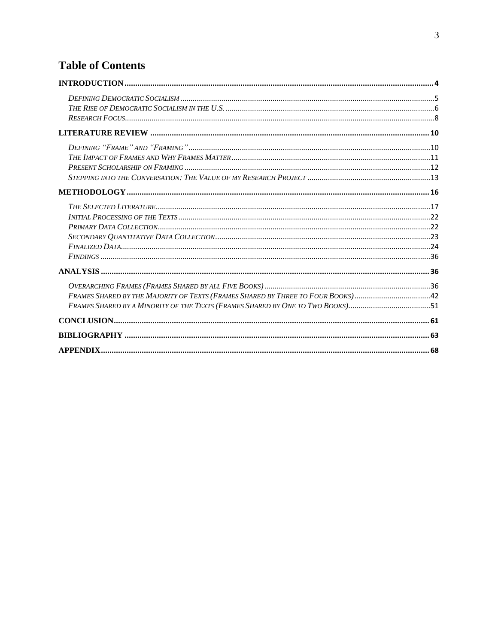## **Table of Contents**

| FRAMES SHARED BY THE MAJORITY OF TEXTS (FRAMES SHARED BY THREE TO FOUR BOOKS) 42 |  |
|----------------------------------------------------------------------------------|--|
| FRAMES SHARED BY A MINORITY OF THE TEXTS (FRAMES SHARED BY ONE TO TWO BOOKS)51   |  |
|                                                                                  |  |
|                                                                                  |  |
|                                                                                  |  |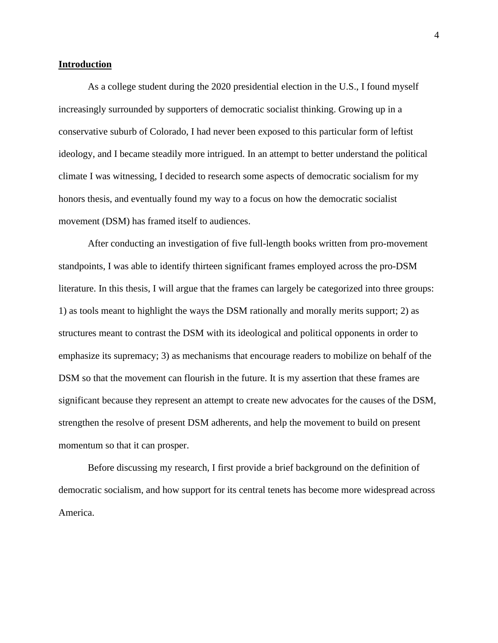#### <span id="page-4-0"></span>**Introduction**

As a college student during the 2020 presidential election in the U.S., I found myself increasingly surrounded by supporters of democratic socialist thinking. Growing up in a conservative suburb of Colorado, I had never been exposed to this particular form of leftist ideology, and I became steadily more intrigued. In an attempt to better understand the political climate I was witnessing, I decided to research some aspects of democratic socialism for my honors thesis, and eventually found my way to a focus on how the democratic socialist movement (DSM) has framed itself to audiences.

After conducting an investigation of five full-length books written from pro-movement standpoints, I was able to identify thirteen significant frames employed across the pro-DSM literature. In this thesis, I will argue that the frames can largely be categorized into three groups: 1) as tools meant to highlight the ways the DSM rationally and morally merits support; 2) as structures meant to contrast the DSM with its ideological and political opponents in order to emphasize its supremacy; 3) as mechanisms that encourage readers to mobilize on behalf of the DSM so that the movement can flourish in the future. It is my assertion that these frames are significant because they represent an attempt to create new advocates for the causes of the DSM, strengthen the resolve of present DSM adherents, and help the movement to build on present momentum so that it can prosper.

Before discussing my research, I first provide a brief background on the definition of democratic socialism, and how support for its central tenets has become more widespread across America.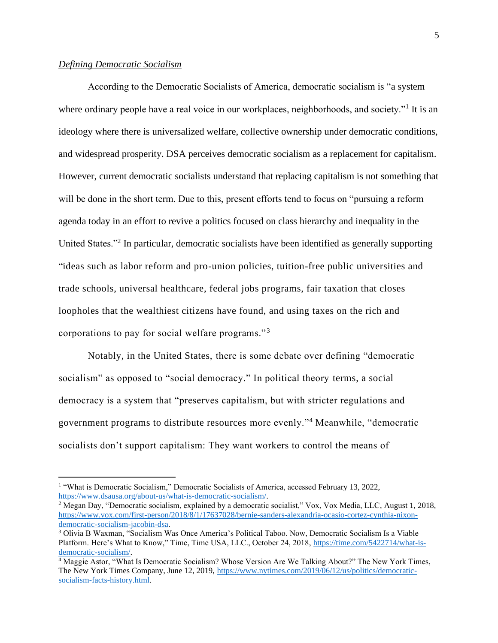#### <span id="page-5-0"></span>*Defining Democratic Socialism*

According to the Democratic Socialists of America, democratic socialism is "a system where ordinary people have a real voice in our workplaces, neighborhoods, and society."<sup>1</sup> It is an ideology where there is universalized welfare, collective ownership under democratic conditions, and widespread prosperity. DSA perceives democratic socialism as a replacement for capitalism. However, current democratic socialists understand that replacing capitalism is not something that will be done in the short term. Due to this, present efforts tend to focus on "pursuing a reform agenda today in an effort to revive a politics focused on class hierarchy and inequality in the United States."<sup>2</sup> In particular, democratic socialists have been identified as generally supporting "ideas such as labor reform and pro-union policies, tuition-free public universities and trade schools, universal healthcare, federal jobs programs, fair taxation that closes loopholes that the wealthiest citizens have found, and using taxes on the rich and corporations to pay for social welfare programs."<sup>3</sup>

Notably, in the United States, there is some debate over defining "democratic socialism" as opposed to "social democracy." In political theory terms, a social democracy is a system that "preserves capitalism, but with stricter regulations and government programs to distribute resources more evenly."<sup>4</sup> Meanwhile, "democratic socialists don't support capitalism: They want workers to control the means of

<sup>&</sup>lt;sup>1</sup> "What is Democratic Socialism," Democratic Socialists of America, accessed February 13, 2022, [https://www.dsausa.org/about-us/what-is-democratic-socialism/.](https://www.dsausa.org/about-us/what-is-democratic-socialism/)

<sup>&</sup>lt;sup>2</sup> Megan Day, "Democratic socialism, explained by a democratic socialist," Vox, Vox Media, LLC, August 1, 2018, [https://www.vox.com/first-person/2018/8/1/17637028/bernie-sanders-alexandria-ocasio-cortez-cynthia-nixon](https://www.vox.com/first-person/2018/8/1/17637028/bernie-sanders-alexandria-ocasio-cortez-cynthia-nixon-democratic-socialism-jacobin-dsa)[democratic-socialism-jacobin-dsa.](https://www.vox.com/first-person/2018/8/1/17637028/bernie-sanders-alexandria-ocasio-cortez-cynthia-nixon-democratic-socialism-jacobin-dsa)

<sup>&</sup>lt;sup>3</sup> Olivia B Waxman, "Socialism Was Once America's Political Taboo. Now, Democratic Socialism Is a Viable Platform. Here's What to Know," Time, Time USA, LLC., October 24, 2018, [https://time.com/5422714/what-is](https://time.com/5422714/what-is-democratic-socialism/)[democratic-socialism/.](https://time.com/5422714/what-is-democratic-socialism/)

<sup>4</sup> Maggie Astor, "What Is Democratic Socialism? Whose Version Are We Talking About?" The New York Times, The New York Times Company, June 12, 2019[, https://www.nytimes.com/2019/06/12/us/politics/democratic](https://www.nytimes.com/2019/06/12/us/politics/democratic-socialism-facts-history.html)[socialism-facts-history.html.](https://www.nytimes.com/2019/06/12/us/politics/democratic-socialism-facts-history.html)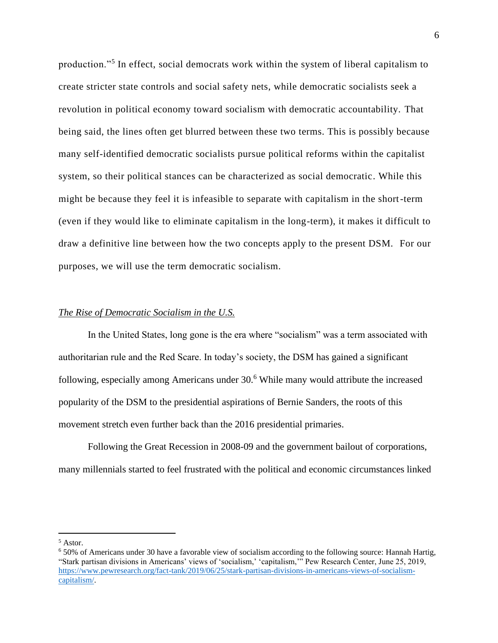production."<sup>5</sup> In effect, social democrats work within the system of liberal capitalism to create stricter state controls and social safety nets, while democratic socialists seek a revolution in political economy toward socialism with democratic accountability. That being said, the lines often get blurred between these two terms. This is possibly because many self-identified democratic socialists pursue political reforms within the capitalist system, so their political stances can be characterized as social democratic. While this might be because they feel it is infeasible to separate with capitalism in the short-term (even if they would like to eliminate capitalism in the long-term), it makes it difficult to draw a definitive line between how the two concepts apply to the present DSM. For our purposes, we will use the term democratic socialism.

#### <span id="page-6-0"></span>*The Rise of Democratic Socialism in the U.S.*

In the United States, long gone is the era where "socialism" was a term associated with authoritarian rule and the Red Scare. In today's society, the DSM has gained a significant following, especially among Americans under 30. <sup>6</sup> While many would attribute the increased popularity of the DSM to the presidential aspirations of Bernie Sanders, the roots of this movement stretch even further back than the 2016 presidential primaries.

Following the Great Recession in 2008-09 and the government bailout of corporations, many millennials started to feel frustrated with the political and economic circumstances linked

<sup>5</sup> Astor.

<sup>6</sup> 50% of Americans under 30 have a favorable view of socialism according to the following source: Hannah Hartig, "Stark partisan divisions in Americans' views of 'socialism,' 'capitalism,'" Pew Research Center, June 25, 2019, [https://www.pewresearch.org/fact-tank/2019/06/25/stark-partisan-divisions-in-americans-views-of-socialism](https://www.pewresearch.org/fact-tank/2019/06/25/stark-partisan-divisions-in-americans-views-of-socialism-capitalism/)[capitalism/.](https://www.pewresearch.org/fact-tank/2019/06/25/stark-partisan-divisions-in-americans-views-of-socialism-capitalism/)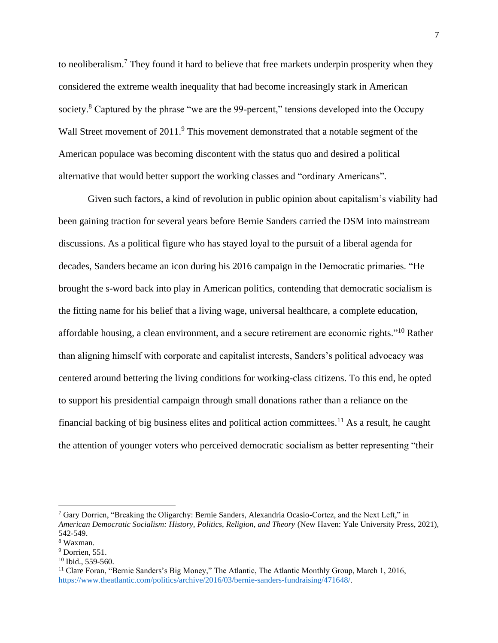to neoliberalism.<sup>7</sup> They found it hard to believe that free markets underpin prosperity when they considered the extreme wealth inequality that had become increasingly stark in American society.<sup>8</sup> Captured by the phrase "we are the 99-percent," tensions developed into the Occupy Wall Street movement of 2011.<sup>9</sup> This movement demonstrated that a notable segment of the American populace was becoming discontent with the status quo and desired a political alternative that would better support the working classes and "ordinary Americans".

Given such factors, a kind of revolution in public opinion about capitalism's viability had been gaining traction for several years before Bernie Sanders carried the DSM into mainstream discussions. As a political figure who has stayed loyal to the pursuit of a liberal agenda for decades, Sanders became an icon during his 2016 campaign in the Democratic primaries. "He brought the s-word back into play in American politics, contending that democratic socialism is the fitting name for his belief that a living wage, universal healthcare, a complete education, affordable housing, a clean environment, and a secure retirement are economic rights."<sup>10</sup> Rather than aligning himself with corporate and capitalist interests, Sanders's political advocacy was centered around bettering the living conditions for working-class citizens. To this end, he opted to support his presidential campaign through small donations rather than a reliance on the financial backing of big business elites and political action committees.<sup>11</sup> As a result, he caught the attention of younger voters who perceived democratic socialism as better representing "their

<sup>7</sup> Gary Dorrien, "Breaking the Oligarchy: Bernie Sanders, Alexandria Ocasio-Cortez, and the Next Left," in *American Democratic Socialism: History, Politics, Religion, and Theory* (New Haven: Yale University Press, 2021), 542-549.

<sup>8</sup> Waxman.

 $<sup>9</sup>$  Dorrien, 551.</sup>

<sup>&</sup>lt;sup>10</sup> Ibid., 559-560.

<sup>&</sup>lt;sup>11</sup> Clare Foran, "Bernie Sanders's Big Money," The Atlantic, The Atlantic Monthly Group, March 1, 2016, [https://www.theatlantic.com/politics/archive/2016/03/bernie-sanders-fundraising/471648/.](https://www.theatlantic.com/politics/archive/2016/03/bernie-sanders-fundraising/471648/)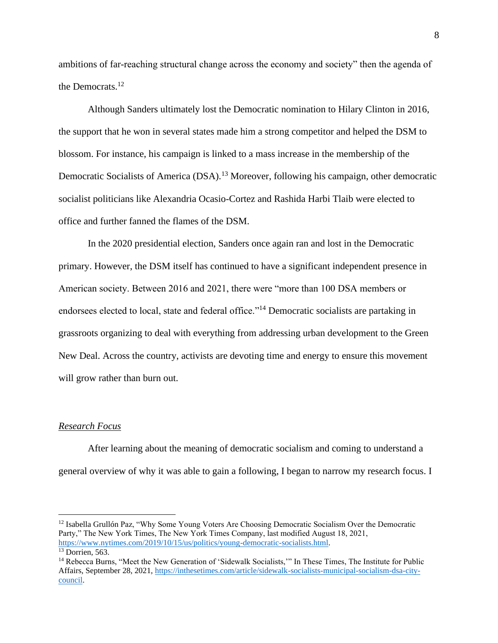ambitions of far-reaching structural change across the economy and society" then the agenda of the Democrats.<sup>12</sup>

Although Sanders ultimately lost the Democratic nomination to Hilary Clinton in 2016, the support that he won in several states made him a strong competitor and helped the DSM to blossom. For instance, his campaign is linked to a mass increase in the membership of the Democratic Socialists of America (DSA).<sup>13</sup> Moreover, following his campaign, other democratic socialist politicians like Alexandria Ocasio-Cortez and Rashida Harbi Tlaib were elected to office and further fanned the flames of the DSM.

In the 2020 presidential election, Sanders once again ran and lost in the Democratic primary. However, the DSM itself has continued to have a significant independent presence in American society. Between 2016 and 2021, there were "more than 100 DSA members or endorsees elected to local, state and federal office."<sup>14</sup> Democratic socialists are partaking in grassroots organizing to deal with everything from addressing urban development to the Green New Deal. Across the country, activists are devoting time and energy to ensure this movement will grow rather than burn out.

#### <span id="page-8-0"></span>*Research Focus*

After learning about the meaning of democratic socialism and coming to understand a general overview of why it was able to gain a following, I began to narrow my research focus. I

<sup>&</sup>lt;sup>12</sup> Isabella Grullón Paz, "Why Some Young Voters Are Choosing Democratic Socialism Over the Democratic Party," The New York Times, The New York Times Company, last modified August 18, 2021, [https://www.nytimes.com/2019/10/15/us/politics/young-democratic-socialists.html.](https://www.nytimes.com/2019/10/15/us/politics/young-democratic-socialists.html)

 $13$  Dorrien, 563.

<sup>&</sup>lt;sup>14</sup> Rebecca Burns, "Meet the New Generation of 'Sidewalk Socialists," In These Times, The Institute for Public Affairs, September 28, 2021, [https://inthesetimes.com/article/sidewalk-socialists-municipal-socialism-dsa-city](https://inthesetimes.com/article/sidewalk-socialists-municipal-socialism-dsa-city-council)[council.](https://inthesetimes.com/article/sidewalk-socialists-municipal-socialism-dsa-city-council)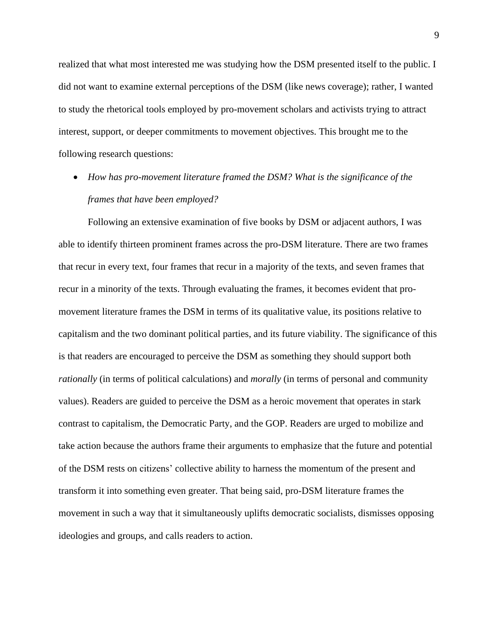realized that what most interested me was studying how the DSM presented itself to the public. I did not want to examine external perceptions of the DSM (like news coverage); rather, I wanted to study the rhetorical tools employed by pro-movement scholars and activists trying to attract interest, support, or deeper commitments to movement objectives. This brought me to the following research questions:

• *How has pro-movement literature framed the DSM? What is the significance of the frames that have been employed?* 

Following an extensive examination of five books by DSM or adjacent authors, I was able to identify thirteen prominent frames across the pro-DSM literature. There are two frames that recur in every text, four frames that recur in a majority of the texts, and seven frames that recur in a minority of the texts. Through evaluating the frames, it becomes evident that promovement literature frames the DSM in terms of its qualitative value, its positions relative to capitalism and the two dominant political parties, and its future viability. The significance of this is that readers are encouraged to perceive the DSM as something they should support both *rationally* (in terms of political calculations) and *morally* (in terms of personal and community values). Readers are guided to perceive the DSM as a heroic movement that operates in stark contrast to capitalism, the Democratic Party, and the GOP. Readers are urged to mobilize and take action because the authors frame their arguments to emphasize that the future and potential of the DSM rests on citizens' collective ability to harness the momentum of the present and transform it into something even greater. That being said, pro-DSM literature frames the movement in such a way that it simultaneously uplifts democratic socialists, dismisses opposing ideologies and groups, and calls readers to action.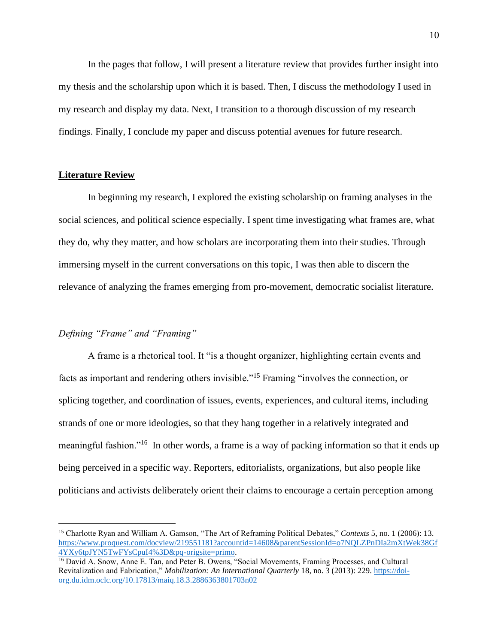In the pages that follow, I will present a literature review that provides further insight into my thesis and the scholarship upon which it is based. Then, I discuss the methodology I used in my research and display my data. Next, I transition to a thorough discussion of my research findings. Finally, I conclude my paper and discuss potential avenues for future research.

#### <span id="page-10-0"></span>**Literature Review**

In beginning my research, I explored the existing scholarship on framing analyses in the social sciences, and political science especially. I spent time investigating what frames are, what they do, why they matter, and how scholars are incorporating them into their studies. Through immersing myself in the current conversations on this topic, I was then able to discern the relevance of analyzing the frames emerging from pro-movement, democratic socialist literature.

#### <span id="page-10-1"></span>*Defining "Frame" and "Framing"*

A frame is a rhetorical tool. It "is a thought organizer, highlighting certain events and facts as important and rendering others invisible."<sup>15</sup> Framing "involves the connection, or splicing together, and coordination of issues, events, experiences, and cultural items, including strands of one or more ideologies, so that they hang together in a relatively integrated and meaningful fashion."<sup>16</sup> In other words, a frame is a way of packing information so that it ends up being perceived in a specific way. Reporters, editorialists, organizations, but also people like politicians and activists deliberately orient their claims to encourage a certain perception among

<sup>15</sup> Charlotte Ryan and William A. Gamson, "The Art of Reframing Political Debates," *Contexts* 5, no. 1 (2006): 13. [https://www.proquest.com/docview/219551181?accountid=14608&parentSessionId=o7NQLZPnDIa2mXtWek38Gf](https://www.proquest.com/docview/219551181?accountid=14608&parentSessionId=o7NQLZPnDIa2mXtWek38Gf4YXy6tpJYN5TwFYsCpuI4%3D&pq-origsite=primo) [4YXy6tpJYN5TwFYsCpuI4%3D&pq-origsite=primo.](https://www.proquest.com/docview/219551181?accountid=14608&parentSessionId=o7NQLZPnDIa2mXtWek38Gf4YXy6tpJYN5TwFYsCpuI4%3D&pq-origsite=primo)

<sup>&</sup>lt;sup>16</sup> David A. Snow, Anne E. Tan, and Peter B. Owens, "Social Movements, Framing Processes, and Cultural Revitalization and Fabrication," *Mobilization: An International Quarterly* 18, no. 3 (2013): 229[. https://doi](https://doi-org.du.idm.oclc.org/10.17813/maiq.18.3.2886363801703n02)[org.du.idm.oclc.org/10.17813/maiq.18.3.2886363801703n02](https://doi-org.du.idm.oclc.org/10.17813/maiq.18.3.2886363801703n02)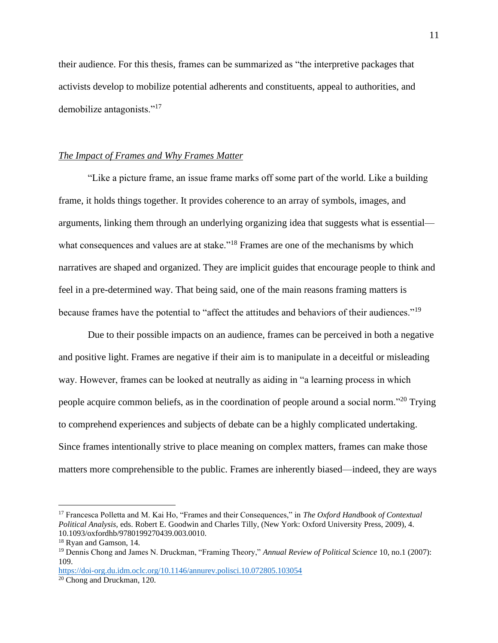their audience. For this thesis, frames can be summarized as "the interpretive packages that activists develop to mobilize potential adherents and constituents, appeal to authorities, and demobilize antagonists."<sup>17</sup>

#### <span id="page-11-0"></span>*The Impact of Frames and Why Frames Matter*

"Like a picture frame, an issue frame marks off some part of the world. Like a building frame, it holds things together. It provides coherence to an array of symbols, images, and arguments, linking them through an underlying organizing idea that suggests what is essential what consequences and values are at stake."<sup>18</sup> Frames are one of the mechanisms by which narratives are shaped and organized. They are implicit guides that encourage people to think and feel in a pre-determined way. That being said, one of the main reasons framing matters is because frames have the potential to "affect the attitudes and behaviors of their audiences."<sup>19</sup>

Due to their possible impacts on an audience, frames can be perceived in both a negative and positive light. Frames are negative if their aim is to manipulate in a deceitful or misleading way. However, frames can be looked at neutrally as aiding in "a learning process in which people acquire common beliefs, as in the coordination of people around a social norm."<sup>20</sup> Trying to comprehend experiences and subjects of debate can be a highly complicated undertaking. Since frames intentionally strive to place meaning on complex matters, frames can make those matters more comprehensible to the public. Frames are inherently biased—indeed, they are ways

<sup>17</sup> Francesca Polletta and M. Kai Ho, "Frames and their Consequences," in *The Oxford Handbook of Contextual Political Analysis,* eds. Robert E. Goodwin and Charles Tilly, (New York: Oxford University Press, 2009), 4. 10.1093/oxfordhb/9780199270439.003.0010.

<sup>18</sup> Ryan and Gamson, 14.

<sup>19</sup> Dennis Chong and James N. Druckman, "Framing Theory," *Annual Review of Political Science* 10, no.1 (2007): 109.

<https://doi-org.du.idm.oclc.org/10.1146/annurev.polisci.10.072805.103054>

<sup>20</sup> Chong and Druckman, 120.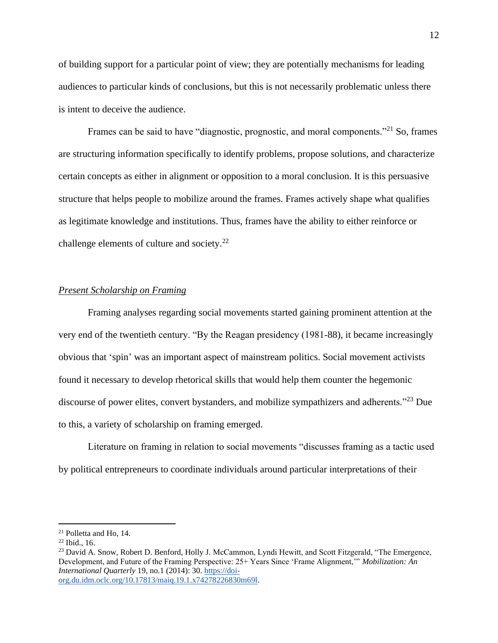of building support for a particular point of view; they are potentially mechanisms for leading audiences to particular kinds of conclusions, but this is not necessarily problematic unless there is intent to deceive the audience.

Frames can be said to have "diagnostic, prognostic, and moral components."<sup>21</sup> So, frames are structuring information specifically to identify problems, propose solutions, and characterize certain concepts as either in alignment or opposition to a moral conclusion. It is this persuasive structure that helps people to mobilize around the frames. Frames actively shape what qualifies as legitimate knowledge and institutions. Thus, frames have the ability to either reinforce or challenge elements of culture and society. $22$ 

#### <span id="page-12-0"></span>*Present Scholarship on Framing*

Framing analyses regarding social movements started gaining prominent attention at the very end of the twentieth century. "By the Reagan presidency (1981-88), it became increasingly obvious that 'spin' was an important aspect of mainstream politics. Social movement activists found it necessary to develop rhetorical skills that would help them counter the hegemonic discourse of power elites, convert bystanders, and mobilize sympathizers and adherents."<sup>23</sup> Due to this, a variety of scholarship on framing emerged.

Literature on framing in relation to social movements "discusses framing as a tactic used by political entrepreneurs to coordinate individuals around particular interpretations of their

<sup>21</sup> Polletta and Ho, 14.

 $22$  Ibid., 16.

<sup>&</sup>lt;sup>23</sup> David A. Snow, Robert D. Benford, Holly J. McCammon, Lyndi Hewitt, and Scott Fitzgerald, "The Emergence, Development, and Future of the Framing Perspective: 25+ Years Since 'Frame Alignment,'" *Mobilization: An International Quarterly* 19, no.1 (2014): 30. [https://doi](https://doi-org.du.idm.oclc.org/10.17813/maiq.19.1.x74278226830m69l)[org.du.idm.oclc.org/10.17813/maiq.19.1.x74278226830m69l.](https://doi-org.du.idm.oclc.org/10.17813/maiq.19.1.x74278226830m69l)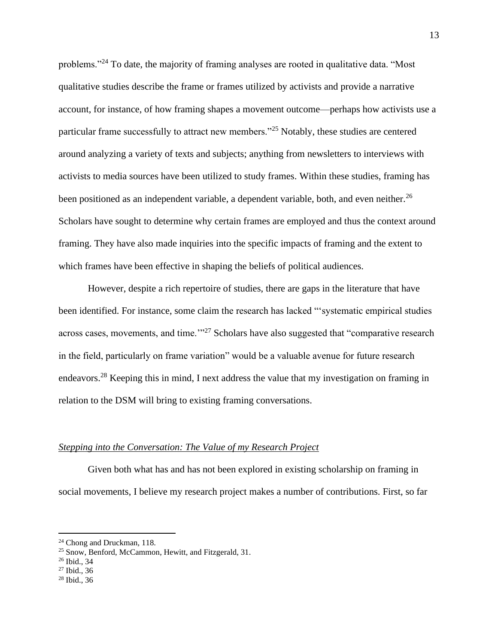problems."<sup>24</sup> To date, the majority of framing analyses are rooted in qualitative data. "Most qualitative studies describe the frame or frames utilized by activists and provide a narrative account, for instance, of how framing shapes a movement outcome—perhaps how activists use a particular frame successfully to attract new members."<sup>25</sup> Notably, these studies are centered around analyzing a variety of texts and subjects; anything from newsletters to interviews with activists to media sources have been utilized to study frames. Within these studies, framing has been positioned as an independent variable, a dependent variable, both, and even neither.<sup>26</sup> Scholars have sought to determine why certain frames are employed and thus the context around framing. They have also made inquiries into the specific impacts of framing and the extent to which frames have been effective in shaping the beliefs of political audiences.

However, despite a rich repertoire of studies, there are gaps in the literature that have been identified. For instance, some claim the research has lacked "'systematic empirical studies across cases, movements, and time.<sup>'"27</sup> Scholars have also suggested that "comparative research" in the field, particularly on frame variation" would be a valuable avenue for future research endeavors.<sup>28</sup> Keeping this in mind, I next address the value that my investigation on framing in relation to the DSM will bring to existing framing conversations.

#### <span id="page-13-0"></span>*Stepping into the Conversation: The Value of my Research Project*

Given both what has and has not been explored in existing scholarship on framing in social movements, I believe my research project makes a number of contributions. First, so far

<sup>24</sup> Chong and Druckman, 118.

<sup>&</sup>lt;sup>25</sup> Snow, Benford, McCammon, Hewitt, and Fitzgerald, 31.

<sup>26</sup> Ibid., 34

 $27$  Ibid., 36

<sup>28</sup> Ibid., 36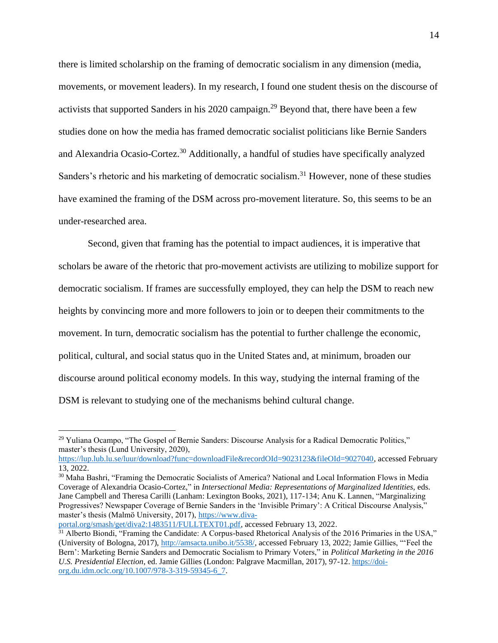there is limited scholarship on the framing of democratic socialism in any dimension (media, movements, or movement leaders). In my research, I found one student thesis on the discourse of activists that supported Sanders in his 2020 campaign.<sup>29</sup> Beyond that, there have been a few studies done on how the media has framed democratic socialist politicians like Bernie Sanders and Alexandria Ocasio-Cortez.<sup>30</sup> Additionally, a handful of studies have specifically analyzed Sanders's rhetoric and his marketing of democratic socialism.<sup>31</sup> However, none of these studies have examined the framing of the DSM across pro-movement literature. So, this seems to be an under-researched area.

Second, given that framing has the potential to impact audiences, it is imperative that scholars be aware of the rhetoric that pro-movement activists are utilizing to mobilize support for democratic socialism. If frames are successfully employed, they can help the DSM to reach new heights by convincing more and more followers to join or to deepen their commitments to the movement. In turn, democratic socialism has the potential to further challenge the economic, political, cultural, and social status quo in the United States and, at minimum, broaden our discourse around political economy models. In this way, studying the internal framing of the DSM is relevant to studying one of the mechanisms behind cultural change.

<sup>&</sup>lt;sup>29</sup> Yuliana Ocampo, "The Gospel of Bernie Sanders: Discourse Analysis for a Radical Democratic Politics," master's thesis (Lund University, 2020),

[https://lup.lub.lu.se/luur/download?func=downloadFile&recordOId=9023123&fileOId=9027040,](https://lup.lub.lu.se/luur/download?func=downloadFile&recordOId=9023123&fileOId=9027040) accessed February 13, 2022.

<sup>30</sup> Maha Bashri, "Framing the Democratic Socialists of America? National and Local Information Flows in Media Coverage of Alexandria Ocasio-Cortez," in *Intersectional Media: Representations of Marginalized Identities,* eds. Jane Campbell and Theresa Carilli (Lanham: Lexington Books, 2021), 117-134; Anu K. Lannen, "Marginalizing Progressives? Newspaper Coverage of Bernie Sanders in the 'Invisible Primary': A Critical Discourse Analysis," master's thesis (Malmö University, 2017), [https://www.diva-](https://www.diva-portal.org/smash/get/diva2:1483511/FULLTEXT01.pdf)

[portal.org/smash/get/diva2:1483511/FULLTEXT01.pdf,](https://www.diva-portal.org/smash/get/diva2:1483511/FULLTEXT01.pdf) accessed February 13, 2022.

<sup>&</sup>lt;sup>31</sup> Alberto Biondi, "Framing the Candidate: A Corpus-based Rhetorical Analysis of the 2016 Primaries in the USA," (University of Bologna, 2017), [http://amsacta.unibo.it/5538/,](http://amsacta.unibo.it/5538/) accessed February 13, 2022; Jamie Gillies, "'Feel the Bern': Marketing Bernie Sanders and Democratic Socialism to Primary Voters," in *Political Marketing in the 2016 U.S. Presidential Election*, ed. Jamie Gillies (London: Palgrave Macmillan, 2017), 97-12. [https://doi](https://doi-org.du.idm.oclc.org/10.1007/978-3-319-59345-6_7)[org.du.idm.oclc.org/10.1007/978-3-319-59345-6\\_7.](https://doi-org.du.idm.oclc.org/10.1007/978-3-319-59345-6_7)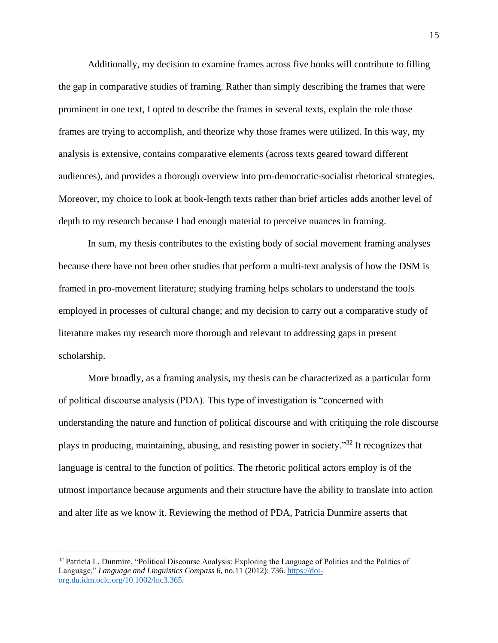Additionally, my decision to examine frames across five books will contribute to filling the gap in comparative studies of framing. Rather than simply describing the frames that were prominent in one text, I opted to describe the frames in several texts, explain the role those frames are trying to accomplish, and theorize why those frames were utilized. In this way, my analysis is extensive, contains comparative elements (across texts geared toward different audiences), and provides a thorough overview into pro-democratic-socialist rhetorical strategies. Moreover, my choice to look at book-length texts rather than brief articles adds another level of depth to my research because I had enough material to perceive nuances in framing.

In sum, my thesis contributes to the existing body of social movement framing analyses because there have not been other studies that perform a multi-text analysis of how the DSM is framed in pro-movement literature; studying framing helps scholars to understand the tools employed in processes of cultural change; and my decision to carry out a comparative study of literature makes my research more thorough and relevant to addressing gaps in present scholarship.

More broadly, as a framing analysis, my thesis can be characterized as a particular form of political discourse analysis (PDA). This type of investigation is "concerned with understanding the nature and function of political discourse and with critiquing the role discourse plays in producing, maintaining, abusing, and resisting power in society."<sup>32</sup> It recognizes that language is central to the function of politics. The rhetoric political actors employ is of the utmost importance because arguments and their structure have the ability to translate into action and alter life as we know it. Reviewing the method of PDA, Patricia Dunmire asserts that

<sup>&</sup>lt;sup>32</sup> Patricia L. Dunmire, "Political Discourse Analysis: Exploring the Language of Politics and the Politics of Language," *Language and Linguistics Compass* 6, no.11 (2012): 736. [https://doi](https://doi-org.du.idm.oclc.org/10.1002/lnc3.365)[org.du.idm.oclc.org/10.1002/lnc3.365.](https://doi-org.du.idm.oclc.org/10.1002/lnc3.365)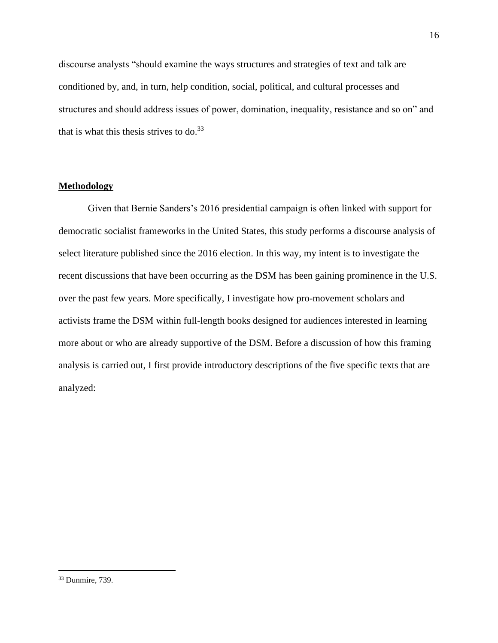discourse analysts "should examine the ways structures and strategies of text and talk are conditioned by, and, in turn, help condition, social, political, and cultural processes and structures and should address issues of power, domination, inequality, resistance and so on" and that is what this thesis strives to do. $33$ 

#### <span id="page-16-0"></span>**Methodology**

Given that Bernie Sanders's 2016 presidential campaign is often linked with support for democratic socialist frameworks in the United States, this study performs a discourse analysis of select literature published since the 2016 election. In this way, my intent is to investigate the recent discussions that have been occurring as the DSM has been gaining prominence in the U.S. over the past few years. More specifically, I investigate how pro-movement scholars and activists frame the DSM within full-length books designed for audiences interested in learning more about or who are already supportive of the DSM. Before a discussion of how this framing analysis is carried out, I first provide introductory descriptions of the five specific texts that are analyzed:

<sup>33</sup> Dunmire, 739.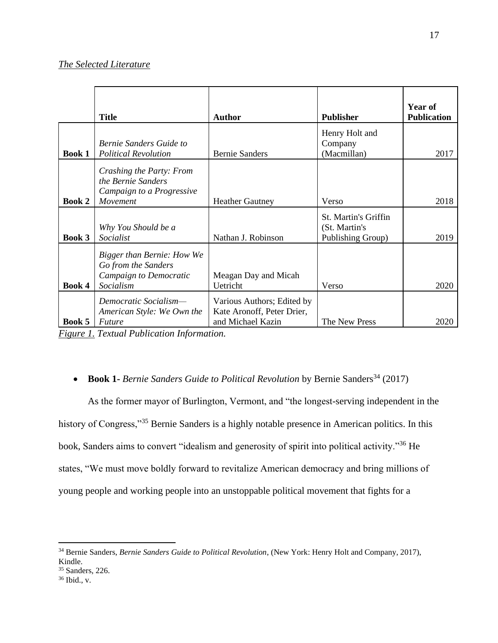#### <span id="page-17-0"></span>*The Selected Literature*

|               | <b>Title</b>                                                                             | <b>Author</b>                                                                 | <b>Publisher</b>                                           | Year of<br><b>Publication</b> |
|---------------|------------------------------------------------------------------------------------------|-------------------------------------------------------------------------------|------------------------------------------------------------|-------------------------------|
| <b>Book 1</b> | Bernie Sanders Guide to<br><b>Political Revolution</b>                                   | <b>Bernie Sanders</b>                                                         | Henry Holt and<br>Company<br>(Macmillan)                   | 2017                          |
| <b>Book 2</b> | Crashing the Party: From<br>the Bernie Sanders<br>Campaign to a Progressive<br>Movement  | <b>Heather Gautney</b>                                                        | Verso                                                      | 2018                          |
| Book 3        | Why You Should be a<br>Socialist                                                         | Nathan J. Robinson                                                            | St. Martin's Griffin<br>(St. Martin's<br>Publishing Group) | 2019                          |
| Book 4        | Bigger than Bernie: How We<br>Go from the Sanders<br>Campaign to Democratic<br>Socialism | Meagan Day and Micah<br>Uetricht                                              | Verso                                                      | 2020                          |
| Book 5        | Democratic Socialism-<br>American Style: We Own the<br>Future                            | Various Authors; Edited by<br>Kate Aronoff, Peter Drier,<br>and Michael Kazin | The New Press                                              | 2020                          |

*Figure 1. Textual Publication Information.*

### • **Book 1-** *Bernie Sanders Guide to Political Revolution* by Bernie Sanders<sup>34</sup> (2017)

As the former mayor of Burlington, Vermont, and "the longest-serving independent in the history of Congress,"<sup>35</sup> Bernie Sanders is a highly notable presence in American politics. In this book, Sanders aims to convert "idealism and generosity of spirit into political activity."<sup>36</sup> He states, "We must move boldly forward to revitalize American democracy and bring millions of young people and working people into an unstoppable political movement that fights for a

<sup>34</sup> Bernie Sanders, *Bernie Sanders Guide to Political Revolution*, (New York: Henry Holt and Company, 2017), Kindle.

<sup>35</sup> Sanders, 226.

<sup>36</sup> Ibid., v.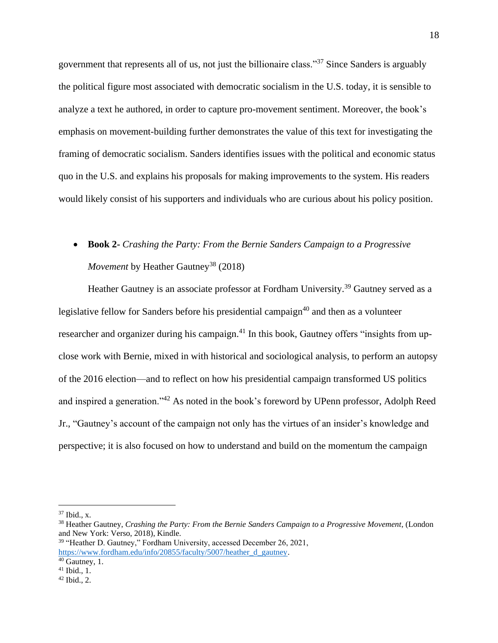government that represents all of us, not just the billionaire class."<sup>37</sup> Since Sanders is arguably the political figure most associated with democratic socialism in the U.S. today, it is sensible to analyze a text he authored, in order to capture pro-movement sentiment. Moreover, the book's emphasis on movement-building further demonstrates the value of this text for investigating the framing of democratic socialism. Sanders identifies issues with the political and economic status quo in the U.S. and explains his proposals for making improvements to the system. His readers would likely consist of his supporters and individuals who are curious about his policy position.

# • **Book 2-** *Crashing the Party: From the Bernie Sanders Campaign to a Progressive Movement* by Heather Gautney<sup>38</sup> (2018)

Heather Gautney is an associate professor at Fordham University.<sup>39</sup> Gautney served as a legislative fellow for Sanders before his presidential campaign<sup>40</sup> and then as a volunteer researcher and organizer during his campaign.<sup>41</sup> In this book, Gautney offers "insights from upclose work with Bernie, mixed in with historical and sociological analysis, to perform an autopsy of the 2016 election—and to reflect on how his presidential campaign transformed US politics and inspired a generation."<sup>42</sup> As noted in the book's foreword by UPenn professor, Adolph Reed Jr., "Gautney's account of the campaign not only has the virtues of an insider's knowledge and perspective; it is also focused on how to understand and build on the momentum the campaign

 $37$  Ibid., x.

<sup>38</sup> Heather Gautney, *Crashing the Party: From the Bernie Sanders Campaign to a Progressive Movement*, (London and New York: Verso, 2018), Kindle.

<sup>&</sup>lt;sup>39</sup> "Heather D. Gautney," Fordham University, accessed December 26, 2021, [https://www.fordham.edu/info/20855/faculty/5007/heather\\_d\\_gautney.](https://www.fordham.edu/info/20855/faculty/5007/heather_d_gautney)

 $40$  Gautney, 1.

 $41$  Ibid., 1.

<sup>42</sup> Ibid., 2.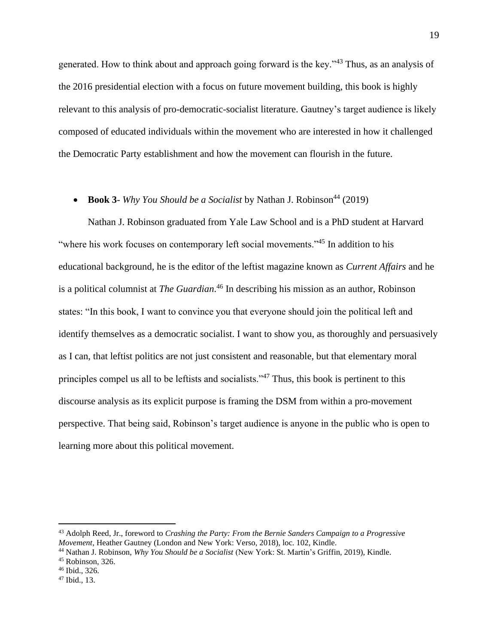generated. How to think about and approach going forward is the key."<sup>43</sup> Thus, as an analysis of the 2016 presidential election with a focus on future movement building, this book is highly relevant to this analysis of pro-democratic-socialist literature. Gautney's target audience is likely composed of educated individuals within the movement who are interested in how it challenged the Democratic Party establishment and how the movement can flourish in the future.

### • **Book 3***- Why You Should be a Socialist* by Nathan J. Robinson<sup>44</sup> (2019)

Nathan J. Robinson graduated from Yale Law School and is a PhD student at Harvard "where his work focuses on contemporary left social movements."<sup>45</sup> In addition to his educational background, he is the editor of the leftist magazine known as *Current Affairs* and he is a political columnist at *The Guardian*. <sup>46</sup> In describing his mission as an author, Robinson states: "In this book, I want to convince you that everyone should join the political left and identify themselves as a democratic socialist. I want to show you, as thoroughly and persuasively as I can, that leftist politics are not just consistent and reasonable, but that elementary moral principles compel us all to be leftists and socialists."<sup>47</sup> Thus, this book is pertinent to this discourse analysis as its explicit purpose is framing the DSM from within a pro-movement perspective. That being said, Robinson's target audience is anyone in the public who is open to learning more about this political movement.

<sup>43</sup> Adolph Reed, Jr., foreword to *Crashing the Party: From the Bernie Sanders Campaign to a Progressive Movement*, Heather Gautney (London and New York: Verso, 2018), loc. 102, Kindle.

<sup>44</sup> Nathan J. Robinson, *Why You Should be a Socialist* (New York: St. Martin's Griffin, 2019), Kindle.

<sup>45</sup> Robinson, 326.

<sup>46</sup> Ibid., 326.

<sup>47</sup> Ibid., 13.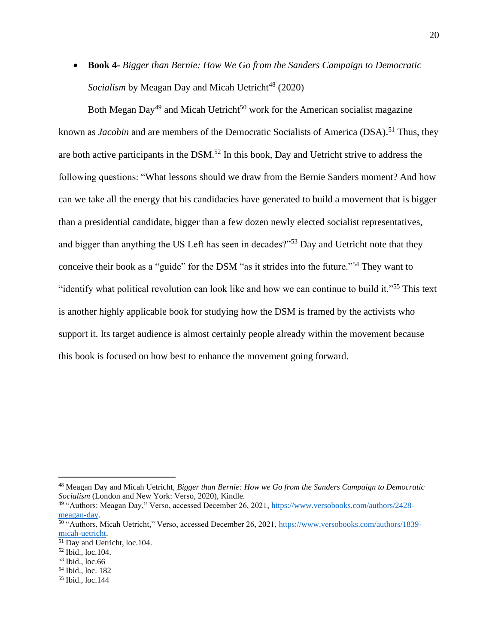• **Book 4-** *Bigger than Bernie: How We Go from the Sanders Campaign to Democratic Socialism* by Meagan Day and Micah Uetricht<sup>48</sup> (2020)

Both Megan Day<sup>49</sup> and Micah Uetricht<sup>50</sup> work for the American socialist magazine known as *Jacobin* and are members of the Democratic Socialists of America (DSA). <sup>51</sup> Thus, they are both active participants in the DSM.<sup>52</sup> In this book, Day and Uetricht strive to address the following questions: "What lessons should we draw from the Bernie Sanders moment? And how can we take all the energy that his candidacies have generated to build a movement that is bigger than a presidential candidate, bigger than a few dozen newly elected socialist representatives, and bigger than anything the US Left has seen in decades?"<sup>53</sup> Day and Uetricht note that they conceive their book as a "guide" for the DSM "as it strides into the future."<sup>54</sup> They want to "identify what political revolution can look like and how we can continue to build it."<sup>55</sup> This text is another highly applicable book for studying how the DSM is framed by the activists who support it. Its target audience is almost certainly people already within the movement because this book is focused on how best to enhance the movement going forward.

<sup>48</sup> Meagan Day and Micah Uetricht, *Bigger than Bernie: How we Go from the Sanders Campaign to Democratic Socialism* (London and New York: Verso, 2020), Kindle.

<sup>49</sup> "Authors: Meagan Day," Verso, accessed December 26, 2021[, https://www.versobooks.com/authors/2428](https://www.versobooks.com/authors/2428-meagan-day) [meagan-day.](https://www.versobooks.com/authors/2428-meagan-day)

<sup>50</sup> "Authors, Micah Uetricht," Verso, accessed December 26, 2021, [https://www.versobooks.com/authors/1839](https://www.versobooks.com/authors/1839-micah-uetricht) [micah-uetricht.](https://www.versobooks.com/authors/1839-micah-uetricht) 

<sup>51</sup> Day and Uetricht, loc.104.

<sup>52</sup> Ibid., loc.104.

<sup>53</sup> Ibid., loc.66

<sup>54</sup> Ibid., loc. 182

<sup>55</sup> Ibid., loc.144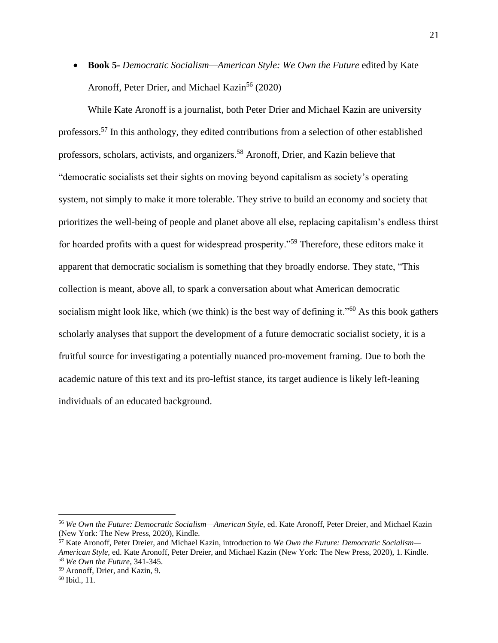• **Book 5-** *Democratic Socialism—American Style: We Own the Future* edited by Kate Aronoff, Peter Drier, and Michael Kazin<sup>56</sup> (2020)

While Kate Aronoff is a journalist, both Peter Drier and Michael Kazin are university professors.<sup>57</sup> In this anthology, they edited contributions from a selection of other established professors, scholars, activists, and organizers.<sup>58</sup> Aronoff, Drier, and Kazin believe that "democratic socialists set their sights on moving beyond capitalism as society's operating system, not simply to make it more tolerable. They strive to build an economy and society that prioritizes the well-being of people and planet above all else, replacing capitalism's endless thirst for hoarded profits with a quest for widespread prosperity."<sup>59</sup> Therefore, these editors make it apparent that democratic socialism is something that they broadly endorse. They state, "This collection is meant, above all, to spark a conversation about what American democratic socialism might look like, which (we think) is the best way of defining it."<sup>60</sup> As this book gathers scholarly analyses that support the development of a future democratic socialist society, it is a fruitful source for investigating a potentially nuanced pro-movement framing. Due to both the academic nature of this text and its pro-leftist stance, its target audience is likely left-leaning individuals of an educated background.

<sup>56</sup> *We Own the Future: Democratic Socialism—American Style,* ed. Kate Aronoff, Peter Dreier, and Michael Kazin (New York: The New Press, 2020), Kindle.

<sup>57</sup> Kate Aronoff, Peter Dreier, and Michael Kazin, introduction to *We Own the Future: Democratic Socialism— American Style,* ed. Kate Aronoff, Peter Dreier, and Michael Kazin (New York: The New Press, 2020), 1. Kindle. <sup>58</sup> *We Own the Future*, 341-345.

<sup>59</sup> Aronoff, Drier, and Kazin, 9.

 $60$  Ibid., 11.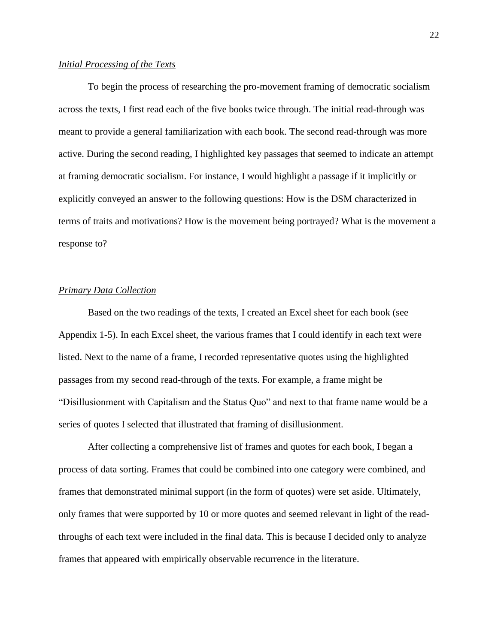#### <span id="page-22-0"></span>*Initial Processing of the Texts*

To begin the process of researching the pro-movement framing of democratic socialism across the texts, I first read each of the five books twice through. The initial read-through was meant to provide a general familiarization with each book. The second read-through was more active. During the second reading, I highlighted key passages that seemed to indicate an attempt at framing democratic socialism. For instance, I would highlight a passage if it implicitly or explicitly conveyed an answer to the following questions: How is the DSM characterized in terms of traits and motivations? How is the movement being portrayed? What is the movement a response to?

#### <span id="page-22-1"></span>*Primary Data Collection*

Based on the two readings of the texts, I created an Excel sheet for each book (see Appendix 1-5). In each Excel sheet, the various frames that I could identify in each text were listed. Next to the name of a frame, I recorded representative quotes using the highlighted passages from my second read-through of the texts. For example, a frame might be "Disillusionment with Capitalism and the Status Quo" and next to that frame name would be a series of quotes I selected that illustrated that framing of disillusionment.

After collecting a comprehensive list of frames and quotes for each book, I began a process of data sorting. Frames that could be combined into one category were combined, and frames that demonstrated minimal support (in the form of quotes) were set aside. Ultimately, only frames that were supported by 10 or more quotes and seemed relevant in light of the readthroughs of each text were included in the final data. This is because I decided only to analyze frames that appeared with empirically observable recurrence in the literature.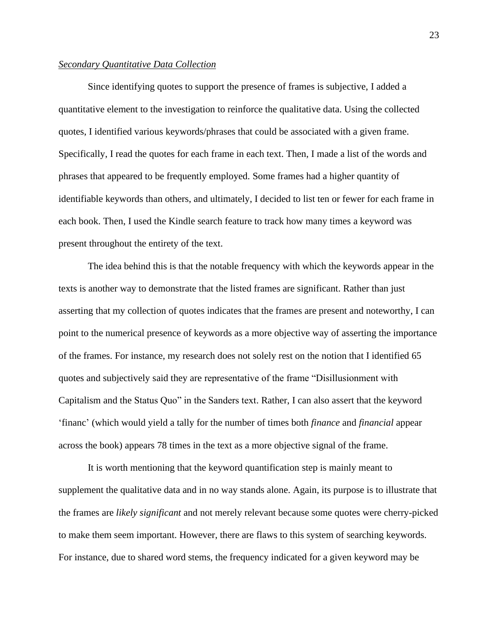#### <span id="page-23-0"></span>*Secondary Quantitative Data Collection*

Since identifying quotes to support the presence of frames is subjective, I added a quantitative element to the investigation to reinforce the qualitative data. Using the collected quotes, I identified various keywords/phrases that could be associated with a given frame. Specifically, I read the quotes for each frame in each text. Then, I made a list of the words and phrases that appeared to be frequently employed. Some frames had a higher quantity of identifiable keywords than others, and ultimately, I decided to list ten or fewer for each frame in each book. Then, I used the Kindle search feature to track how many times a keyword was present throughout the entirety of the text.

The idea behind this is that the notable frequency with which the keywords appear in the texts is another way to demonstrate that the listed frames are significant. Rather than just asserting that my collection of quotes indicates that the frames are present and noteworthy, I can point to the numerical presence of keywords as a more objective way of asserting the importance of the frames. For instance, my research does not solely rest on the notion that I identified 65 quotes and subjectively said they are representative of the frame "Disillusionment with Capitalism and the Status Quo" in the Sanders text. Rather, I can also assert that the keyword 'financ' (which would yield a tally for the number of times both *finance* and *financial* appear across the book) appears 78 times in the text as a more objective signal of the frame.

It is worth mentioning that the keyword quantification step is mainly meant to supplement the qualitative data and in no way stands alone. Again, its purpose is to illustrate that the frames are *likely significant* and not merely relevant because some quotes were cherry-picked to make them seem important. However, there are flaws to this system of searching keywords. For instance, due to shared word stems, the frequency indicated for a given keyword may be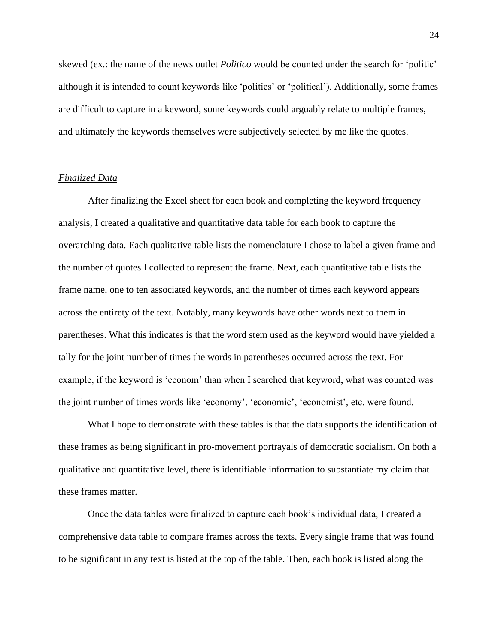skewed (ex.: the name of the news outlet *Politico* would be counted under the search for 'politic' although it is intended to count keywords like 'politics' or 'political'). Additionally, some frames are difficult to capture in a keyword, some keywords could arguably relate to multiple frames, and ultimately the keywords themselves were subjectively selected by me like the quotes.

#### <span id="page-24-0"></span>*Finalized Data*

After finalizing the Excel sheet for each book and completing the keyword frequency analysis, I created a qualitative and quantitative data table for each book to capture the overarching data. Each qualitative table lists the nomenclature I chose to label a given frame and the number of quotes I collected to represent the frame. Next, each quantitative table lists the frame name, one to ten associated keywords, and the number of times each keyword appears across the entirety of the text. Notably, many keywords have other words next to them in parentheses. What this indicates is that the word stem used as the keyword would have yielded a tally for the joint number of times the words in parentheses occurred across the text. For example, if the keyword is 'econom' than when I searched that keyword, what was counted was the joint number of times words like 'economy', 'economic', 'economist', etc. were found.

What I hope to demonstrate with these tables is that the data supports the identification of these frames as being significant in pro-movement portrayals of democratic socialism. On both a qualitative and quantitative level, there is identifiable information to substantiate my claim that these frames matter.

Once the data tables were finalized to capture each book's individual data, I created a comprehensive data table to compare frames across the texts. Every single frame that was found to be significant in any text is listed at the top of the table. Then, each book is listed along the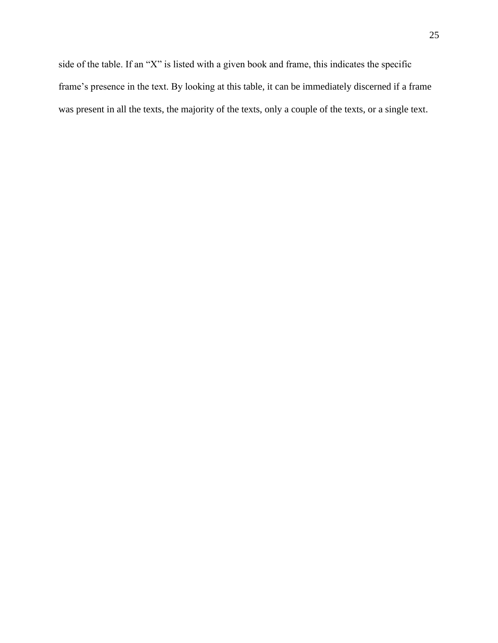side of the table. If an "X" is listed with a given book and frame, this indicates the specific frame's presence in the text. By looking at this table, it can be immediately discerned if a frame was present in all the texts, the majority of the texts, only a couple of the texts, or a single text.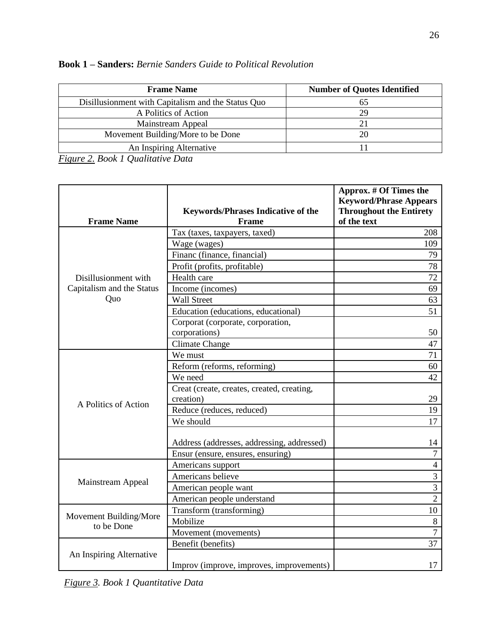| <b>Frame Name</b>                                  | <b>Number of Quotes Identified</b> |
|----------------------------------------------------|------------------------------------|
| Disillusionment with Capitalism and the Status Quo |                                    |
| A Politics of Action                               | 29                                 |
| Mainstream Appeal                                  |                                    |
| Movement Building/More to be Done                  |                                    |
| An Inspiring Alternative                           |                                    |

| <b>Book 1 – Sanders:</b> Bernie Sanders Guide to Political Revolution |  |  |  |  |  |
|-----------------------------------------------------------------------|--|--|--|--|--|
|-----------------------------------------------------------------------|--|--|--|--|--|

*Figure 2. Book 1 Qualitative Data*

|                           |                                            | Approx. # Of Times the<br><b>Keyword/Phrase Appears</b> |
|---------------------------|--------------------------------------------|---------------------------------------------------------|
|                           | <b>Keywords/Phrases Indicative of the</b>  | <b>Throughout the Entirety</b>                          |
| <b>Frame Name</b>         | <b>Frame</b>                               | of the text                                             |
|                           | Tax (taxes, taxpayers, taxed)              | 208                                                     |
|                           | Wage (wages)                               | 109                                                     |
|                           | Financ (finance, financial)                | 79                                                      |
|                           | Profit (profits, profitable)               | 78                                                      |
| Disillusionment with      | Health care                                | 72                                                      |
| Capitalism and the Status | Income (incomes)                           | 69                                                      |
| Quo                       | <b>Wall Street</b>                         | 63                                                      |
|                           | Education (educations, educational)        | 51                                                      |
|                           | Corporat (corporate, corporation,          |                                                         |
|                           | corporations)                              | 50                                                      |
|                           | <b>Climate Change</b>                      | 47                                                      |
|                           | We must                                    | 71                                                      |
|                           | Reform (reforms, reforming)                | 60                                                      |
|                           | We need                                    | 42                                                      |
|                           | Creat (create, creates, created, creating, |                                                         |
| A Politics of Action      | creation)                                  | 29                                                      |
|                           | Reduce (reduces, reduced)                  | 19                                                      |
|                           | We should                                  | 17                                                      |
|                           | Address (addresses, addressing, addressed) | 14                                                      |
|                           | Ensur (ensure, ensures, ensuring)          | $\boldsymbol{7}$                                        |
|                           | Americans support                          | $\overline{4}$                                          |
|                           | Americans believe                          | $\overline{3}$                                          |
| Mainstream Appeal         | American people want                       | $\overline{3}$                                          |
|                           | American people understand                 | $\overline{2}$                                          |
|                           | Transform (transforming)                   | 10                                                      |
| Movement Building/More    | Mobilize                                   | $8\,$                                                   |
| to be Done                | Movement (movements)                       | $\overline{7}$                                          |
|                           | Benefit (benefits)                         | 37                                                      |
| An Inspiring Alternative  | Improv (improve, improves, improvements)   | 17                                                      |

*Figure 3. Book 1 Quantitative Data*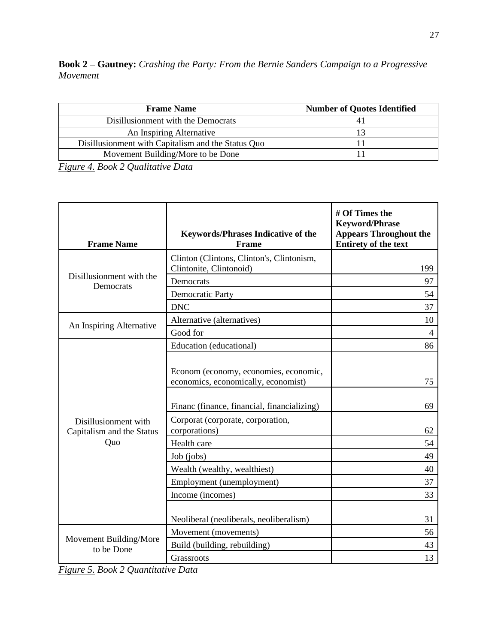**Book 2 – Gautney:** *Crashing the Party: From the Bernie Sanders Campaign to a Progressive Movement*

| <b>Frame Name</b>                                  | <b>Number of Quotes Identified</b> |
|----------------------------------------------------|------------------------------------|
| Disillusionment with the Democrats                 |                                    |
| An Inspiring Alternative                           |                                    |
| Disillusionment with Capitalism and the Status Quo |                                    |
| Movement Building/More to be Done                  |                                    |

*Figure 4. Book 2 Qualitative Data*

| <b>Frame Name</b>                                 | <b>Keywords/Phrases Indicative of the</b><br>Frame                           | # Of Times the<br><b>Keyword/Phrase</b><br><b>Appears Throughout the</b><br><b>Entirety of the text</b> |
|---------------------------------------------------|------------------------------------------------------------------------------|---------------------------------------------------------------------------------------------------------|
|                                                   | Clinton (Clintons, Clinton's, Clintonism,                                    |                                                                                                         |
| Disillusionment with the                          | Clintonite, Clintonoid)                                                      | 199                                                                                                     |
| Democrats                                         | Democrats                                                                    | 97                                                                                                      |
|                                                   | <b>Democratic Party</b>                                                      | 54                                                                                                      |
|                                                   | <b>DNC</b>                                                                   | 37                                                                                                      |
| An Inspiring Alternative                          | Alternative (alternatives)                                                   | 10                                                                                                      |
|                                                   | Good for                                                                     | 4                                                                                                       |
|                                                   | Education (educational)                                                      | 86                                                                                                      |
|                                                   | Econom (economy, economies, economic,<br>economics, economically, economist) | 75                                                                                                      |
|                                                   | Financ (finance, financial, financializing)                                  | 69                                                                                                      |
| Disillusionment with<br>Capitalism and the Status | Corporat (corporate, corporation,<br>corporations)                           | 62                                                                                                      |
| Quo                                               | Health care                                                                  | 54                                                                                                      |
|                                                   | Job (jobs)                                                                   | 49                                                                                                      |
|                                                   | Wealth (wealthy, wealthiest)                                                 | 40                                                                                                      |
|                                                   | Employment (unemployment)                                                    | 37                                                                                                      |
|                                                   | Income (incomes)                                                             | 33                                                                                                      |
|                                                   | Neoliberal (neoliberals, neoliberalism)                                      | 31                                                                                                      |
|                                                   | Movement (movements)                                                         | 56                                                                                                      |
| Movement Building/More<br>to be Done              | Build (building, rebuilding)                                                 | 43                                                                                                      |
|                                                   | Grassroots                                                                   | 13                                                                                                      |

*Figure 5. Book 2 Quantitative Data*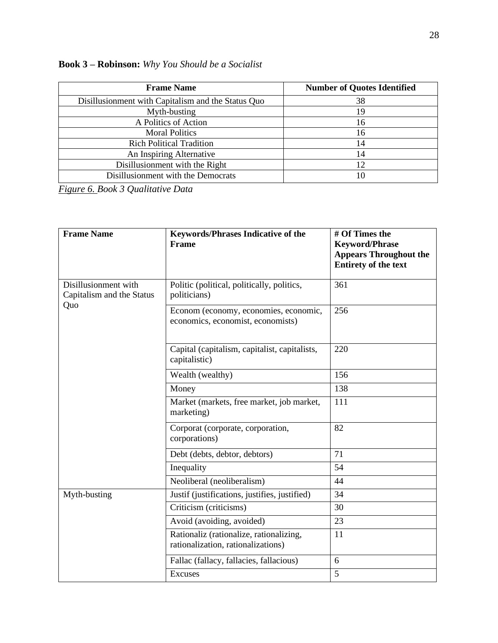| <b>Frame Name</b>                                  | <b>Number of Quotes Identified</b> |
|----------------------------------------------------|------------------------------------|
| Disillusionment with Capitalism and the Status Quo | 38                                 |
| Myth-busting                                       | 19                                 |
| A Politics of Action                               | 16                                 |
| <b>Moral Politics</b>                              | 16                                 |
| <b>Rich Political Tradition</b>                    | 14                                 |
| An Inspiring Alternative                           | 14                                 |
| Disillusionment with the Right                     | 12                                 |
| Disillusionment with the Democrats                 | 10                                 |

**Book 3 – Robinson:** *Why You Should be a Socialist*

*Figure 6. Book 3 Qualitative Data* 

| <b>Frame Name</b>                                 | <b>Keywords/Phrases Indicative of the</b><br><b>Frame</b>                     | # Of Times the<br><b>Keyword/Phrase</b><br><b>Appears Throughout the</b><br><b>Entirety of the text</b> |
|---------------------------------------------------|-------------------------------------------------------------------------------|---------------------------------------------------------------------------------------------------------|
| Disillusionment with<br>Capitalism and the Status | Politic (political, politically, politics,<br>politicians)                    | 361                                                                                                     |
| Quo                                               | Econom (economy, economies, economic,<br>economics, economist, economists)    | 256                                                                                                     |
|                                                   | Capital (capitalism, capitalist, capitalists,<br>capitalistic)                | 220                                                                                                     |
|                                                   | Wealth (wealthy)                                                              |                                                                                                         |
|                                                   | Money                                                                         | 138                                                                                                     |
|                                                   | Market (markets, free market, job market,<br>marketing)                       | 111                                                                                                     |
|                                                   | Corporat (corporate, corporation,<br>corporations)                            | 82                                                                                                      |
|                                                   | Debt (debts, debtor, debtors)                                                 | 71                                                                                                      |
|                                                   | Inequality                                                                    | 54                                                                                                      |
|                                                   | Neoliberal (neoliberalism)                                                    | 44                                                                                                      |
| Myth-busting                                      | Justif (justifications, justifies, justified)                                 | 34                                                                                                      |
|                                                   | Criticism (criticisms)                                                        | 30                                                                                                      |
|                                                   | Avoid (avoiding, avoided)                                                     | 23                                                                                                      |
|                                                   | Rationaliz (rationalize, rationalizing,<br>rationalization, rationalizations) | 11                                                                                                      |
|                                                   | Fallac (fallacy, fallacies, fallacious)                                       | 6                                                                                                       |
|                                                   | <b>Excuses</b>                                                                | 5                                                                                                       |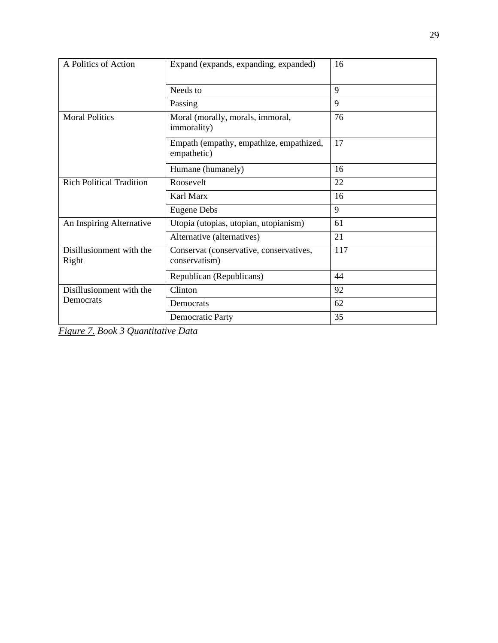| A Politics of Action              | Expand (expands, expanding, expanded)                    | 16  |
|-----------------------------------|----------------------------------------------------------|-----|
|                                   | Needs to                                                 | 9   |
|                                   | Passing                                                  | 9   |
| <b>Moral Politics</b>             | Moral (morally, morals, immoral,<br>immorality)          | 76  |
|                                   | Empath (empathy, empathize, empathized,<br>empathetic)   | 17  |
|                                   | Humane (humanely)                                        | 16  |
| <b>Rich Political Tradition</b>   | Roosevelt                                                | 22  |
|                                   | Karl Marx                                                | 16  |
|                                   | <b>Eugene Debs</b>                                       | 9   |
| An Inspiring Alternative          | Utopia (utopias, utopian, utopianism)                    | 61  |
|                                   | Alternative (alternatives)                               | 21  |
| Disillusionment with the<br>Right | Conservat (conservative, conservatives,<br>conservatism) | 117 |
|                                   | Republican (Republicans)                                 | 44  |
| Disillusionment with the          | Clinton                                                  | 92  |
| Democrats                         | Democrats                                                | 62  |
|                                   | <b>Democratic Party</b>                                  | 35  |

*Figure 7. Book 3 Quantitative Data*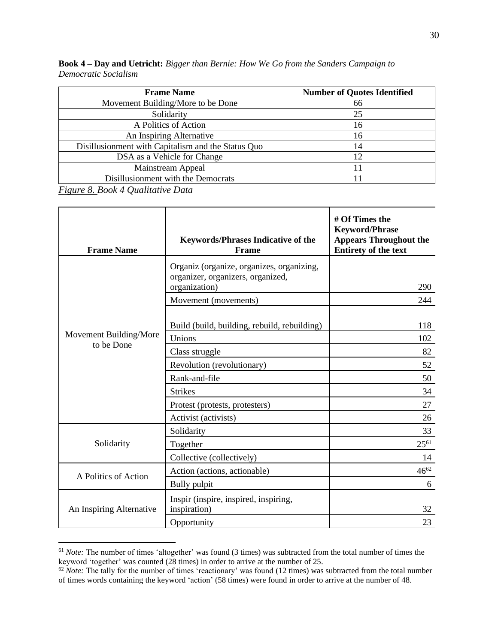| <b>Book 4 – Day and Uetricht:</b> Bigger than Bernie: How We Go from the Sanders Campaign to |  |  |  |
|----------------------------------------------------------------------------------------------|--|--|--|
| Democratic Socialism                                                                         |  |  |  |

| <b>Frame Name</b>                                  | <b>Number of Quotes Identified</b> |
|----------------------------------------------------|------------------------------------|
| Movement Building/More to be Done                  | 66                                 |
| Solidarity                                         | 25                                 |
| A Politics of Action                               | 16                                 |
| An Inspiring Alternative                           | 16                                 |
| Disillusionment with Capitalism and the Status Quo | 14                                 |
| DSA as a Vehicle for Change                        | 12                                 |
| Mainstream Appeal                                  |                                    |
| Disillusionment with the Democrats                 |                                    |

*Figure 8. Book 4 Qualitative Data*

| <b>Frame Name</b>        | <b>Keywords/Phrases Indicative of the</b><br><b>Frame</b>                                       | # Of Times the<br><b>Keyword/Phrase</b><br><b>Appears Throughout the</b><br>Entirety of the text |
|--------------------------|-------------------------------------------------------------------------------------------------|--------------------------------------------------------------------------------------------------|
|                          | Organiz (organize, organizes, organizing,<br>organizer, organizers, organized,<br>organization) | 290                                                                                              |
|                          | Movement (movements)                                                                            | 244                                                                                              |
| Movement Building/More   | Build (build, building, rebuild, rebuilding)                                                    | 118                                                                                              |
| to be Done               | Unions                                                                                          | 102                                                                                              |
|                          | Class struggle                                                                                  | 82                                                                                               |
|                          | Revolution (revolutionary)                                                                      | 52                                                                                               |
|                          | Rank-and-file                                                                                   | 50                                                                                               |
|                          | <b>Strikes</b>                                                                                  | 34                                                                                               |
|                          | Protest (protests, protesters)                                                                  | 27                                                                                               |
|                          | Activist (activists)                                                                            | 26                                                                                               |
|                          | Solidarity                                                                                      | 33                                                                                               |
| Solidarity               | Together                                                                                        | $25^{61}$                                                                                        |
|                          | Collective (collectively)                                                                       | 14                                                                                               |
|                          | Action (actions, actionable)                                                                    | $46^{62}$                                                                                        |
| A Politics of Action     | Bully pulpit                                                                                    | 6                                                                                                |
| An Inspiring Alternative | Inspir (inspire, inspired, inspiring,<br>inspiration)                                           | 32                                                                                               |
|                          | Opportunity                                                                                     | 23                                                                                               |

<sup>&</sup>lt;sup>61</sup> *Note:* The number of times 'altogether' was found (3 times) was subtracted from the total number of times the keyword 'together' was counted (28 times) in order to arrive at the number of 25.

 $62$  *Note:* The tally for the number of times 'reactionary' was found (12 times) was subtracted from the total number of times words containing the keyword 'action' (58 times) were found in order to arrive at the number of 48.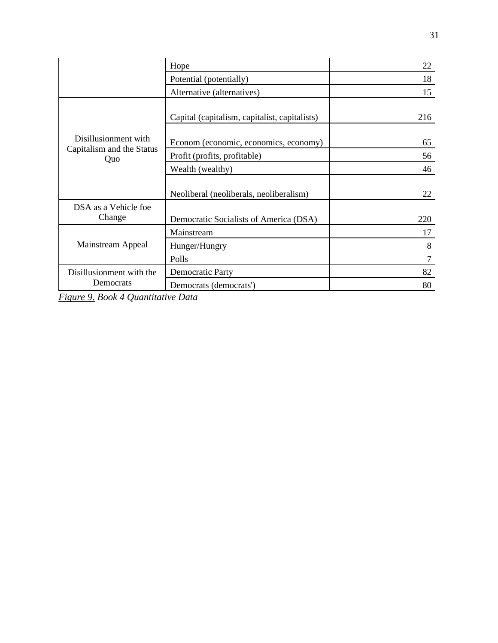|                                                          | 22                                            |     |
|----------------------------------------------------------|-----------------------------------------------|-----|
|                                                          | Potential (potentially)                       | 18  |
|                                                          | Alternative (alternatives)                    | 15  |
|                                                          | Capital (capitalism, capitalist, capitalists) | 216 |
| Disillusionment with<br>Capitalism and the Status<br>Quo | Econom (economic, economics, economy)         | 65  |
|                                                          | Profit (profits, profitable)                  | 56  |
|                                                          | Wealth (wealthy)                              | 46  |
|                                                          | Neoliberal (neoliberals, neoliberalism)       | 22  |
| DSA as a Vehicle foe                                     |                                               |     |
| Change                                                   | Democratic Socialists of America (DSA)        | 220 |
|                                                          | Mainstream                                    | 17  |
| Mainstream Appeal                                        | Hunger/Hungry                                 | 8   |
|                                                          | Polls                                         | 7   |
| Disillusionment with the                                 | <b>Democratic Party</b>                       | 82  |
| Democrats                                                | Democrats (democrats')                        | 80  |

*Figure 9. Book 4 Quantitative Data*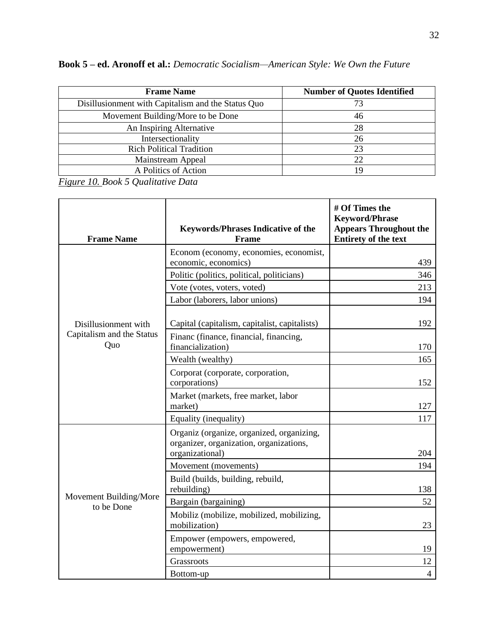| <b>Frame Name</b>                                  | <b>Number of Quotes Identified</b> |  |  |
|----------------------------------------------------|------------------------------------|--|--|
| Disillusionment with Capitalism and the Status Quo |                                    |  |  |
| Movement Building/More to be Done                  | 46                                 |  |  |
| An Inspiring Alternative                           | 28                                 |  |  |
| Intersectionality                                  | 26                                 |  |  |
| <b>Rich Political Tradition</b>                    | 23                                 |  |  |
| Mainstream Appeal                                  | 22                                 |  |  |
| A Politics of Action                               | 19                                 |  |  |

**Book 5 – ed. Aronoff et al.:** *Democratic Socialism—American Style: We Own the Future*

*Figure 10. Book 5 Qualitative Data*

| <b>Frame Name</b>                    | <b>Keywords/Phrases Indicative of the</b><br>Frame                                                      | # Of Times the<br><b>Keyword/Phrase</b><br><b>Appears Throughout the</b><br><b>Entirety of the text</b> |
|--------------------------------------|---------------------------------------------------------------------------------------------------------|---------------------------------------------------------------------------------------------------------|
|                                      | Econom (economy, economies, economist,                                                                  |                                                                                                         |
|                                      | economic, economics)                                                                                    | 439                                                                                                     |
|                                      | Politic (politics, political, politicians)                                                              | 346                                                                                                     |
|                                      | Vote (votes, voters, voted)                                                                             | 213                                                                                                     |
|                                      | Labor (laborers, labor unions)                                                                          | 194                                                                                                     |
| Disillusionment with                 | Capital (capitalism, capitalist, capitalists)                                                           | 192                                                                                                     |
| Capitalism and the Status<br>Quo     | Financ (finance, financial, financing,<br>financialization)                                             | 170                                                                                                     |
|                                      | Wealth (wealthy)                                                                                        | 165                                                                                                     |
|                                      | Corporat (corporate, corporation,<br>corporations)                                                      | 152                                                                                                     |
|                                      | Market (markets, free market, labor<br>market)                                                          | 127                                                                                                     |
|                                      | Equality (inequality)                                                                                   | 117                                                                                                     |
|                                      | Organiz (organize, organized, organizing,<br>organizer, organization, organizations,<br>organizational) | 204                                                                                                     |
|                                      | Movement (movements)                                                                                    | 194                                                                                                     |
|                                      | Build (builds, building, rebuild,<br>rebuilding)                                                        | 138                                                                                                     |
| Movement Building/More<br>to be Done | Bargain (bargaining)                                                                                    | 52                                                                                                      |
|                                      | Mobiliz (mobilize, mobilized, mobilizing,<br>mobilization)                                              | 23                                                                                                      |
|                                      | Empower (empowers, empowered,<br>empowerment)                                                           | 19                                                                                                      |
|                                      | Grassroots                                                                                              | 12                                                                                                      |
|                                      | Bottom-up                                                                                               | $\overline{4}$                                                                                          |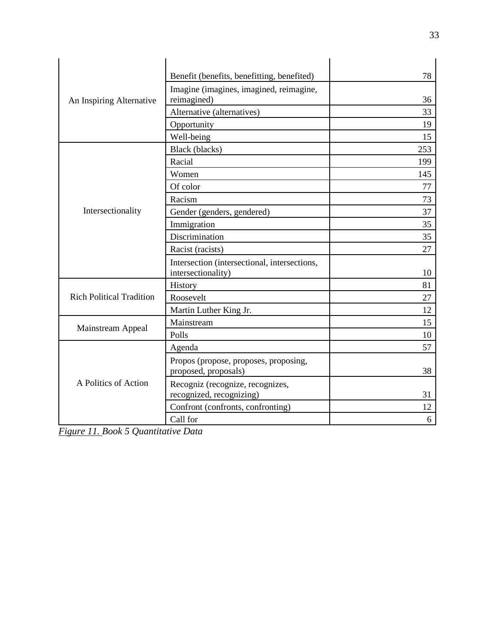|                                 | Benefit (benefits, benefitting, benefited)                         | 78  |
|---------------------------------|--------------------------------------------------------------------|-----|
| An Inspiring Alternative        | Imagine (imagines, imagined, reimagine,                            |     |
|                                 | reimagined)                                                        | 36  |
|                                 | Alternative (alternatives)                                         | 33  |
|                                 | Opportunity                                                        | 19  |
|                                 | Well-being                                                         | 15  |
|                                 | Black (blacks)                                                     | 253 |
|                                 | Racial                                                             | 199 |
|                                 | Women                                                              | 145 |
|                                 | Of color                                                           | 77  |
|                                 | Racism                                                             | 73  |
| Intersectionality               | Gender (genders, gendered)                                         | 37  |
|                                 | Immigration                                                        | 35  |
|                                 | Discrimination                                                     | 35  |
|                                 | Racist (racists)                                                   | 27  |
|                                 | Intersection (intersectional, intersections,<br>intersectionality) | 10  |
|                                 | History                                                            | 81  |
| <b>Rich Political Tradition</b> | Roosevelt                                                          | 27  |
|                                 | Martin Luther King Jr.                                             | 12  |
|                                 | Mainstream                                                         | 15  |
| Mainstream Appeal               | Polls                                                              | 10  |
|                                 | Agenda                                                             | 57  |
|                                 | Propos (propose, proposes, proposing,<br>proposed, proposals)      | 38  |
| A Politics of Action            | Recogniz (recognize, recognizes,<br>recognized, recognizing)       | 31  |
|                                 | Confront (confronts, confronting)                                  | 12  |
|                                 | Call for                                                           | 6   |

*Figure 11. Book 5 Quantitative Data*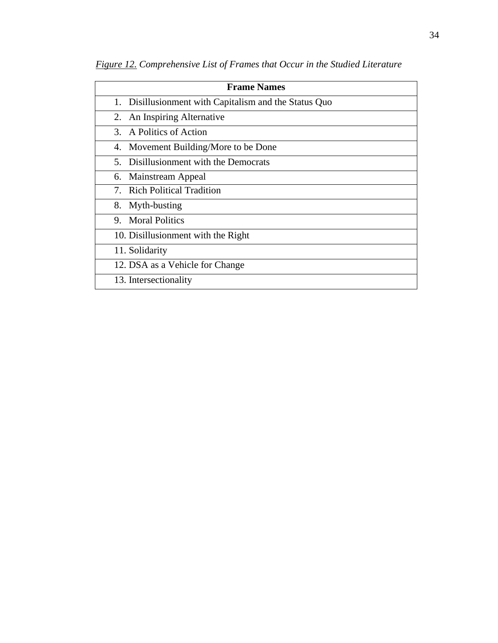| <b>Frame Names</b>                                    |  |  |  |  |  |
|-------------------------------------------------------|--|--|--|--|--|
| 1. Disillusionment with Capitalism and the Status Quo |  |  |  |  |  |
| 2. An Inspiring Alternative                           |  |  |  |  |  |
| 3. A Politics of Action                               |  |  |  |  |  |
| 4. Movement Building/More to be Done                  |  |  |  |  |  |
| 5. Disillusionment with the Democrats                 |  |  |  |  |  |
| 6. Mainstream Appeal                                  |  |  |  |  |  |
| 7. Rich Political Tradition                           |  |  |  |  |  |
| 8. Myth-busting                                       |  |  |  |  |  |
| 9. Moral Politics                                     |  |  |  |  |  |
| 10. Disillusionment with the Right                    |  |  |  |  |  |
| 11. Solidarity                                        |  |  |  |  |  |
| 12. DSA as a Vehicle for Change                       |  |  |  |  |  |
| 13. Intersectionality                                 |  |  |  |  |  |

*Figure 12. Comprehensive List of Frames that Occur in the Studied Literature*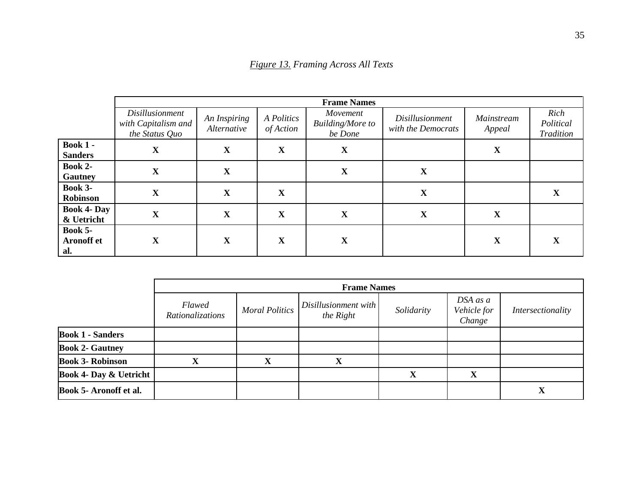|                                            | <b>Frame Names</b>                                              |                             |                         |                                                |                                              |                      |                                |
|--------------------------------------------|-----------------------------------------------------------------|-----------------------------|-------------------------|------------------------------------------------|----------------------------------------------|----------------------|--------------------------------|
|                                            | <i>Disillusionment</i><br>with Capitalism and<br>the Status Quo | An Inspiring<br>Alternative | A Politics<br>of Action | Movement<br><b>Building/More to</b><br>be Done | <i>Disillusionment</i><br>with the Democrats | Mainstream<br>Appeal | Rich<br>Political<br>Tradition |
| <b>Book 1 -</b><br><b>Sanders</b>          | X                                                               | $\mathbf X$                 | $\mathbf X$             | X                                              |                                              | X                    |                                |
| Book 2-<br>Gautney                         | $\mathbf X$                                                     | X                           |                         | X                                              | X                                            |                      |                                |
| <b>Book 3-</b><br>Robinson                 | X                                                               | $\mathbf X$                 | $\mathbf X$             |                                                | X                                            |                      | X                              |
| <b>Book 4- Day</b><br>& Uetricht           | X                                                               | $\mathbf X$                 | $\mathbf X$             | X                                              | X                                            | X                    |                                |
| <b>Book 5-</b><br><b>Aronoff</b> et<br>al. | $\mathbf X$                                                     | $\mathbf X$                 | $\mathbf X$             | X                                              |                                              | X                    | X                              |

*Figure 13. Framing Across All Texts*

|                                   | <b>Frame Names</b>                |                       |                                   |            |                                   |                   |
|-----------------------------------|-----------------------------------|-----------------------|-----------------------------------|------------|-----------------------------------|-------------------|
|                                   | <b>Flawed</b><br>Rationalizations | <b>Moral Politics</b> | Disillusionment with<br>the Right | Solidarity | DSA as a<br>Vehicle for<br>Change | Intersectionality |
| <b>Book 1 - Sanders</b>           |                                   |                       |                                   |            |                                   |                   |
| <b>Book 2- Gautney</b>            |                                   |                       |                                   |            |                                   |                   |
| <b>Book 3- Robinson</b>           | л                                 |                       |                                   |            |                                   |                   |
| <b>Book 4- Day &amp; Uetricht</b> |                                   |                       |                                   | X          | л                                 |                   |
| <b>Book 5- Aronoff et al.</b>     |                                   |                       |                                   |            |                                   | А                 |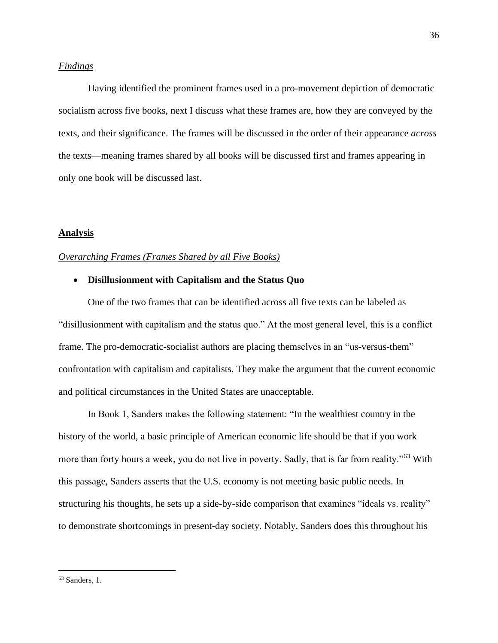#### <span id="page-36-0"></span>*Findings*

Having identified the prominent frames used in a pro-movement depiction of democratic socialism across five books, next I discuss what these frames are, how they are conveyed by the texts, and their significance. The frames will be discussed in the order of their appearance *across* the texts—meaning frames shared by all books will be discussed first and frames appearing in only one book will be discussed last.

#### <span id="page-36-1"></span>**Analysis**

#### <span id="page-36-2"></span>*Overarching Frames (Frames Shared by all Five Books)*

#### • **Disillusionment with Capitalism and the Status Quo**

One of the two frames that can be identified across all five texts can be labeled as "disillusionment with capitalism and the status quo." At the most general level, this is a conflict frame. The pro-democratic-socialist authors are placing themselves in an "us-versus-them" confrontation with capitalism and capitalists. They make the argument that the current economic and political circumstances in the United States are unacceptable.

In Book 1, Sanders makes the following statement: "In the wealthiest country in the history of the world, a basic principle of American economic life should be that if you work more than forty hours a week, you do not live in poverty. Sadly, that is far from reality."<sup>63</sup> With this passage, Sanders asserts that the U.S. economy is not meeting basic public needs. In structuring his thoughts, he sets up a side-by-side comparison that examines "ideals vs. reality" to demonstrate shortcomings in present-day society. Notably, Sanders does this throughout his

<sup>63</sup> Sanders, 1.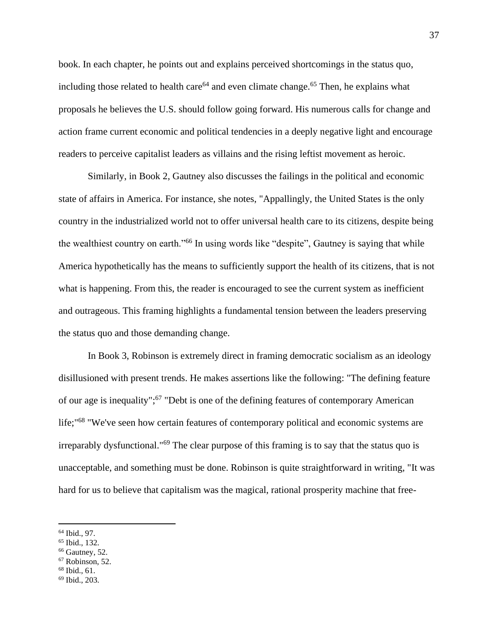book. In each chapter, he points out and explains perceived shortcomings in the status quo, including those related to health care<sup>64</sup> and even climate change.<sup>65</sup> Then, he explains what proposals he believes the U.S. should follow going forward. His numerous calls for change and action frame current economic and political tendencies in a deeply negative light and encourage readers to perceive capitalist leaders as villains and the rising leftist movement as heroic.

Similarly, in Book 2, Gautney also discusses the failings in the political and economic state of affairs in America. For instance, she notes, "Appallingly, the United States is the only country in the industrialized world not to offer universal health care to its citizens, despite being the wealthiest country on earth."<sup>66</sup> In using words like "despite", Gautney is saying that while America hypothetically has the means to sufficiently support the health of its citizens, that is not what is happening. From this, the reader is encouraged to see the current system as inefficient and outrageous. This framing highlights a fundamental tension between the leaders preserving the status quo and those demanding change.

In Book 3, Robinson is extremely direct in framing democratic socialism as an ideology disillusioned with present trends. He makes assertions like the following: "The defining feature of our age is inequality";<sup>67</sup> "Debt is one of the defining features of contemporary American life;"<sup>68</sup> "We've seen how certain features of contemporary political and economic systems are irreparably dysfunctional."<sup>69</sup> The clear purpose of this framing is to say that the status quo is unacceptable, and something must be done. Robinson is quite straightforward in writing, "It was hard for us to believe that capitalism was the magical, rational prosperity machine that free-

- $66$  Gautney, 52.
- <sup>67</sup> Robinson, 52.
- $68$  Ibid., 61.
- <sup>69</sup> Ibid., 203.

<sup>64</sup> Ibid., 97.

<sup>65</sup> Ibid., 132.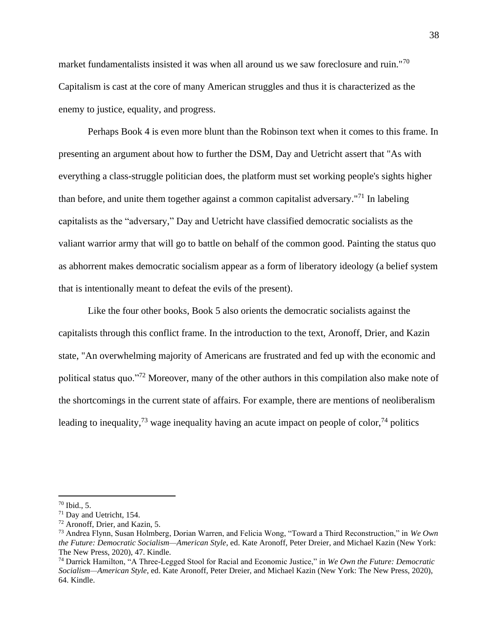market fundamentalists insisted it was when all around us we saw foreclosure and ruin."<sup>70</sup> Capitalism is cast at the core of many American struggles and thus it is characterized as the enemy to justice, equality, and progress.

Perhaps Book 4 is even more blunt than the Robinson text when it comes to this frame. In presenting an argument about how to further the DSM, Day and Uetricht assert that "As with everything a class-struggle politician does, the platform must set working people's sights higher than before, and unite them together against a common capitalist adversary."<sup>71</sup> In labeling capitalists as the "adversary," Day and Uetricht have classified democratic socialists as the valiant warrior army that will go to battle on behalf of the common good. Painting the status quo as abhorrent makes democratic socialism appear as a form of liberatory ideology (a belief system that is intentionally meant to defeat the evils of the present).

Like the four other books, Book 5 also orients the democratic socialists against the capitalists through this conflict frame. In the introduction to the text, Aronoff, Drier, and Kazin state, "An overwhelming majority of Americans are frustrated and fed up with the economic and political status quo."<sup>72</sup> Moreover, many of the other authors in this compilation also make note of the shortcomings in the current state of affairs. For example, there are mentions of neoliberalism leading to inequality,  $^{73}$  wage inequality having an acute impact on people of color,  $^{74}$  politics

<sup>70</sup> Ibid., 5.

<sup>71</sup> Day and Uetricht, 154.

<sup>72</sup> Aronoff, Drier, and Kazin, 5.

<sup>73</sup> Andrea Flynn, Susan Holmberg, Dorian Warren, and Felicia Wong, "Toward a Third Reconstruction," in *We Own the Future: Democratic Socialism—American Style*, ed. Kate Aronoff, Peter Dreier, and Michael Kazin (New York: The New Press, 2020), 47. Kindle.

<sup>74</sup> Darrick Hamilton, "A Three-Legged Stool for Racial and Economic Justice," in *We Own the Future: Democratic Socialism—American Style*, ed. Kate Aronoff, Peter Dreier, and Michael Kazin (New York: The New Press, 2020), 64. Kindle.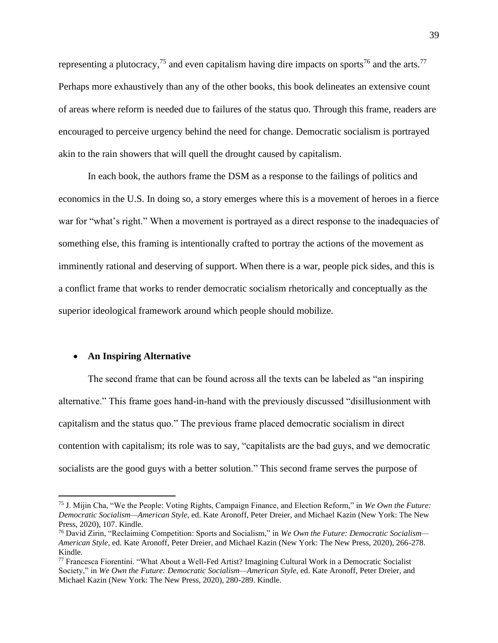representing a plutocracy,<sup>75</sup> and even capitalism having dire impacts on sports<sup>76</sup> and the arts.<sup>77</sup> Perhaps more exhaustively than any of the other books, this book delineates an extensive count of areas where reform is needed due to failures of the status quo. Through this frame, readers are encouraged to perceive urgency behind the need for change. Democratic socialism is portrayed akin to the rain showers that will quell the drought caused by capitalism.

In each book, the authors frame the DSM as a response to the failings of politics and economics in the U.S. In doing so, a story emerges where this is a movement of heroes in a fierce war for "what's right." When a movement is portrayed as a direct response to the inadequacies of something else, this framing is intentionally crafted to portray the actions of the movement as imminently rational and deserving of support. When there is a war, people pick sides, and this is a conflict frame that works to render democratic socialism rhetorically and conceptually as the superior ideological framework around which people should mobilize.

#### • **An Inspiring Alternative**

The second frame that can be found across all the texts can be labeled as "an inspiring alternative." This frame goes hand-in-hand with the previously discussed "disillusionment with capitalism and the status quo." The previous frame placed democratic socialism in direct contention with capitalism; its role was to say, "capitalists are the bad guys, and we democratic socialists are the good guys with a better solution." This second frame serves the purpose of

<sup>75</sup> J. Mijin Cha, "We the People: Voting Rights, Campaign Finance, and Election Reform," in *We Own the Future: Democratic Socialism—American Style*, ed. Kate Aronoff, Peter Dreier, and Michael Kazin (New York: The New Press, 2020), 107. Kindle.

<sup>76</sup> David Zirin, "Reclaiming Competition: Sports and Socialism," in *We Own the Future: Democratic Socialism— American Style*, ed. Kate Aronoff, Peter Dreier, and Michael Kazin (New York: The New Press, 2020), 266-278. Kindle.

<sup>77</sup> Francesca Fiorentini. "What About a Well-Fed Artist? Imagining Cultural Work in a Democratic Socialist Society," in *We Own the Future: Democratic Socialism—American Style*, ed. Kate Aronoff, Peter Dreier, and Michael Kazin (New York: The New Press, 2020), 280-289. Kindle.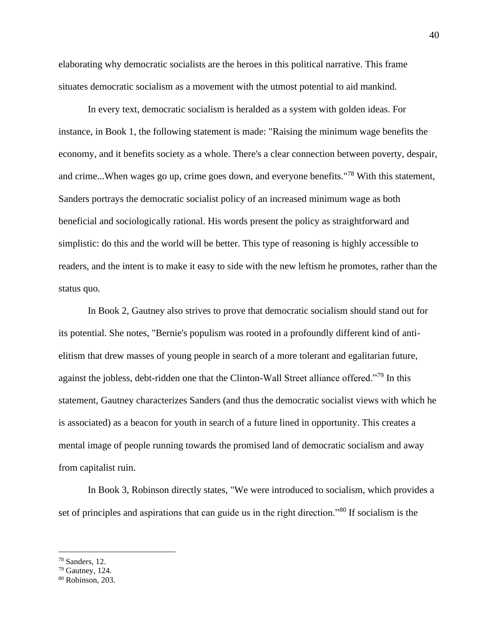elaborating why democratic socialists are the heroes in this political narrative. This frame situates democratic socialism as a movement with the utmost potential to aid mankind.

In every text, democratic socialism is heralded as a system with golden ideas. For instance, in Book 1, the following statement is made: "Raising the minimum wage benefits the economy, and it benefits society as a whole. There's a clear connection between poverty, despair, and crime...When wages go up, crime goes down, and everyone benefits."<sup>78</sup> With this statement, Sanders portrays the democratic socialist policy of an increased minimum wage as both beneficial and sociologically rational. His words present the policy as straightforward and simplistic: do this and the world will be better. This type of reasoning is highly accessible to readers, and the intent is to make it easy to side with the new leftism he promotes, rather than the status quo.

In Book 2, Gautney also strives to prove that democratic socialism should stand out for its potential. She notes, "Bernie's populism was rooted in a profoundly different kind of antielitism that drew masses of young people in search of a more tolerant and egalitarian future, against the jobless, debt-ridden one that the Clinton-Wall Street alliance offered."<sup>79</sup> In this statement, Gautney characterizes Sanders (and thus the democratic socialist views with which he is associated) as a beacon for youth in search of a future lined in opportunity. This creates a mental image of people running towards the promised land of democratic socialism and away from capitalist ruin.

In Book 3, Robinson directly states, "We were introduced to socialism, which provides a set of principles and aspirations that can guide us in the right direction."<sup>80</sup> If socialism is the

<sup>78</sup> Sanders, 12.

<sup>79</sup> Gautney, 124.

<sup>80</sup> Robinson, 203.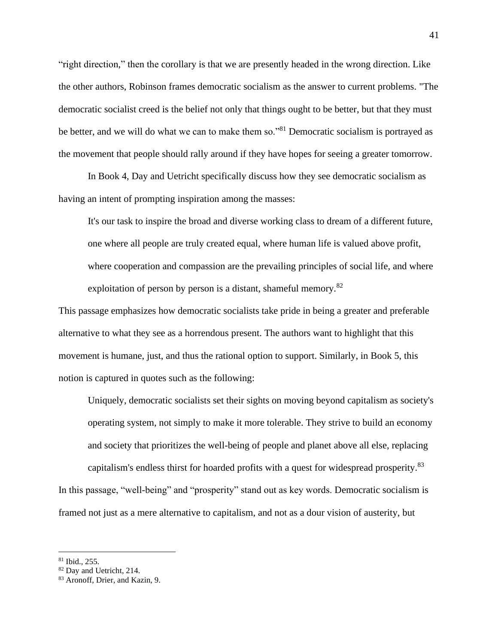"right direction," then the corollary is that we are presently headed in the wrong direction. Like the other authors, Robinson frames democratic socialism as the answer to current problems. "The democratic socialist creed is the belief not only that things ought to be better, but that they must be better, and we will do what we can to make them so."<sup>81</sup> Democratic socialism is portrayed as the movement that people should rally around if they have hopes for seeing a greater tomorrow.

In Book 4, Day and Uetricht specifically discuss how they see democratic socialism as having an intent of prompting inspiration among the masses:

It's our task to inspire the broad and diverse working class to dream of a different future, one where all people are truly created equal, where human life is valued above profit, where cooperation and compassion are the prevailing principles of social life, and where exploitation of person by person is a distant, shameful memory.<sup>82</sup>

This passage emphasizes how democratic socialists take pride in being a greater and preferable alternative to what they see as a horrendous present. The authors want to highlight that this movement is humane, just, and thus the rational option to support. Similarly, in Book 5, this notion is captured in quotes such as the following:

Uniquely, democratic socialists set their sights on moving beyond capitalism as society's operating system, not simply to make it more tolerable. They strive to build an economy and society that prioritizes the well-being of people and planet above all else, replacing capitalism's endless thirst for hoarded profits with a quest for widespread prosperity.<sup>83</sup> In this passage, "well-being" and "prosperity" stand out as key words. Democratic socialism is framed not just as a mere alternative to capitalism, and not as a dour vision of austerity, but

<sup>81</sup> Ibid., 255.

<sup>&</sup>lt;sup>82</sup> Day and Uetricht, 214.

<sup>83</sup> Aronoff, Drier, and Kazin, 9.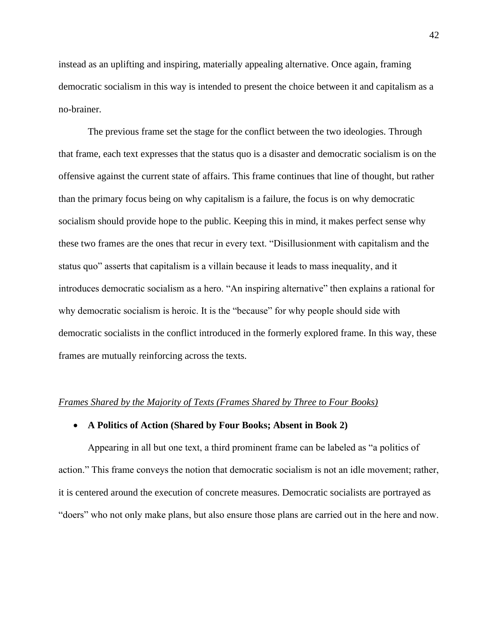instead as an uplifting and inspiring, materially appealing alternative. Once again, framing democratic socialism in this way is intended to present the choice between it and capitalism as a no-brainer.

The previous frame set the stage for the conflict between the two ideologies. Through that frame, each text expresses that the status quo is a disaster and democratic socialism is on the offensive against the current state of affairs. This frame continues that line of thought, but rather than the primary focus being on why capitalism is a failure, the focus is on why democratic socialism should provide hope to the public. Keeping this in mind, it makes perfect sense why these two frames are the ones that recur in every text. "Disillusionment with capitalism and the status quo" asserts that capitalism is a villain because it leads to mass inequality, and it introduces democratic socialism as a hero. "An inspiring alternative" then explains a rational for why democratic socialism is heroic. It is the "because" for why people should side with democratic socialists in the conflict introduced in the formerly explored frame. In this way, these frames are mutually reinforcing across the texts.

#### <span id="page-42-0"></span>*Frames Shared by the Majority of Texts (Frames Shared by Three to Four Books)*

#### • **A Politics of Action (Shared by Four Books; Absent in Book 2)**

Appearing in all but one text, a third prominent frame can be labeled as "a politics of action." This frame conveys the notion that democratic socialism is not an idle movement; rather, it is centered around the execution of concrete measures. Democratic socialists are portrayed as "doers" who not only make plans, but also ensure those plans are carried out in the here and now.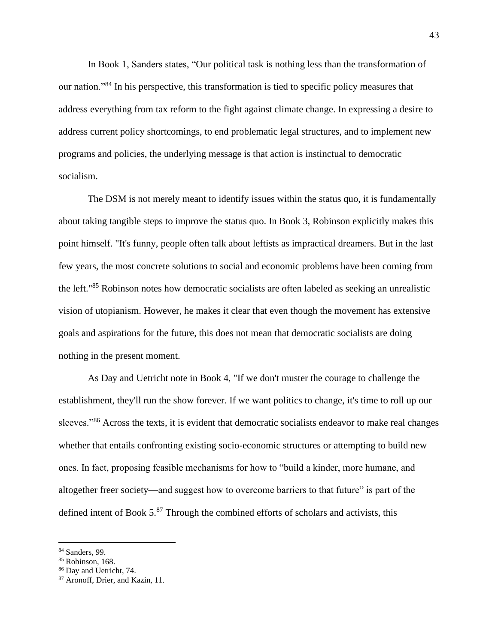In Book 1, Sanders states, "Our political task is nothing less than the transformation of our nation."<sup>84</sup> In his perspective, this transformation is tied to specific policy measures that address everything from tax reform to the fight against climate change. In expressing a desire to address current policy shortcomings, to end problematic legal structures, and to implement new programs and policies, the underlying message is that action is instinctual to democratic socialism.

The DSM is not merely meant to identify issues within the status quo, it is fundamentally about taking tangible steps to improve the status quo. In Book 3, Robinson explicitly makes this point himself. "It's funny, people often talk about leftists as impractical dreamers. But in the last few years, the most concrete solutions to social and economic problems have been coming from the left."<sup>85</sup> Robinson notes how democratic socialists are often labeled as seeking an unrealistic vision of utopianism. However, he makes it clear that even though the movement has extensive goals and aspirations for the future, this does not mean that democratic socialists are doing nothing in the present moment.

As Day and Uetricht note in Book 4, "If we don't muster the courage to challenge the establishment, they'll run the show forever. If we want politics to change, it's time to roll up our sleeves."<sup>86</sup> Across the texts, it is evident that democratic socialists endeavor to make real changes whether that entails confronting existing socio-economic structures or attempting to build new ones. In fact, proposing feasible mechanisms for how to "build a kinder, more humane, and altogether freer society—and suggest how to overcome barriers to that future" is part of the defined intent of Book  $5.^{87}$  Through the combined efforts of scholars and activists, this

<sup>84</sup> Sanders, 99.

<sup>&</sup>lt;sup>85</sup> Robinson, 168.

<sup>86</sup> Day and Uetricht, 74.

<sup>87</sup> Aronoff, Drier, and Kazin, 11.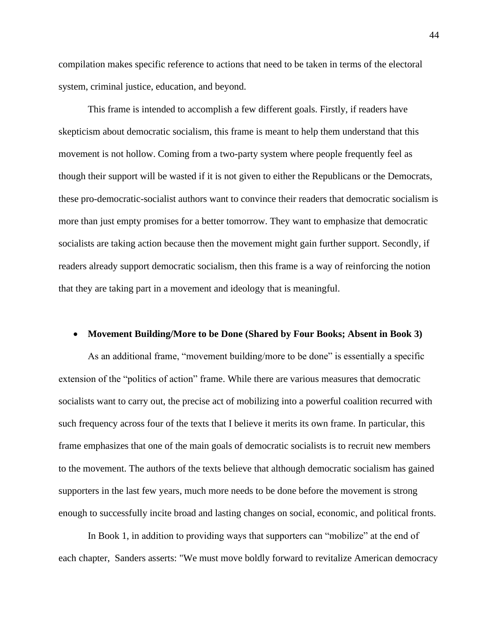compilation makes specific reference to actions that need to be taken in terms of the electoral system, criminal justice, education, and beyond.

This frame is intended to accomplish a few different goals. Firstly, if readers have skepticism about democratic socialism, this frame is meant to help them understand that this movement is not hollow. Coming from a two-party system where people frequently feel as though their support will be wasted if it is not given to either the Republicans or the Democrats, these pro-democratic-socialist authors want to convince their readers that democratic socialism is more than just empty promises for a better tomorrow. They want to emphasize that democratic socialists are taking action because then the movement might gain further support. Secondly, if readers already support democratic socialism, then this frame is a way of reinforcing the notion that they are taking part in a movement and ideology that is meaningful.

#### • **Movement Building/More to be Done (Shared by Four Books; Absent in Book 3)**

As an additional frame, "movement building/more to be done" is essentially a specific extension of the "politics of action" frame. While there are various measures that democratic socialists want to carry out, the precise act of mobilizing into a powerful coalition recurred with such frequency across four of the texts that I believe it merits its own frame. In particular, this frame emphasizes that one of the main goals of democratic socialists is to recruit new members to the movement. The authors of the texts believe that although democratic socialism has gained supporters in the last few years, much more needs to be done before the movement is strong enough to successfully incite broad and lasting changes on social, economic, and political fronts.

In Book 1, in addition to providing ways that supporters can "mobilize" at the end of each chapter, Sanders asserts: "We must move boldly forward to revitalize American democracy

44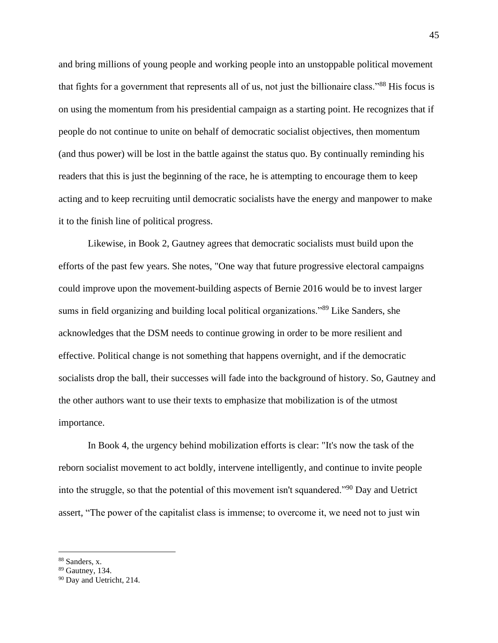and bring millions of young people and working people into an unstoppable political movement that fights for a government that represents all of us, not just the billionaire class."<sup>88</sup> His focus is on using the momentum from his presidential campaign as a starting point. He recognizes that if people do not continue to unite on behalf of democratic socialist objectives, then momentum (and thus power) will be lost in the battle against the status quo. By continually reminding his readers that this is just the beginning of the race, he is attempting to encourage them to keep acting and to keep recruiting until democratic socialists have the energy and manpower to make it to the finish line of political progress.

Likewise, in Book 2, Gautney agrees that democratic socialists must build upon the efforts of the past few years. She notes, "One way that future progressive electoral campaigns could improve upon the movement-building aspects of Bernie 2016 would be to invest larger sums in field organizing and building local political organizations."<sup>89</sup> Like Sanders, she acknowledges that the DSM needs to continue growing in order to be more resilient and effective. Political change is not something that happens overnight, and if the democratic socialists drop the ball, their successes will fade into the background of history. So, Gautney and the other authors want to use their texts to emphasize that mobilization is of the utmost importance.

In Book 4, the urgency behind mobilization efforts is clear: "It's now the task of the reborn socialist movement to act boldly, intervene intelligently, and continue to invite people into the struggle, so that the potential of this movement isn't squandered."<sup>90</sup> Day and Uetrict assert, "The power of the capitalist class is immense; to overcome it, we need not to just win

<sup>88</sup> Sanders, x.

<sup>89</sup> Gautney, 134.

<sup>&</sup>lt;sup>90</sup> Day and Uetricht, 214.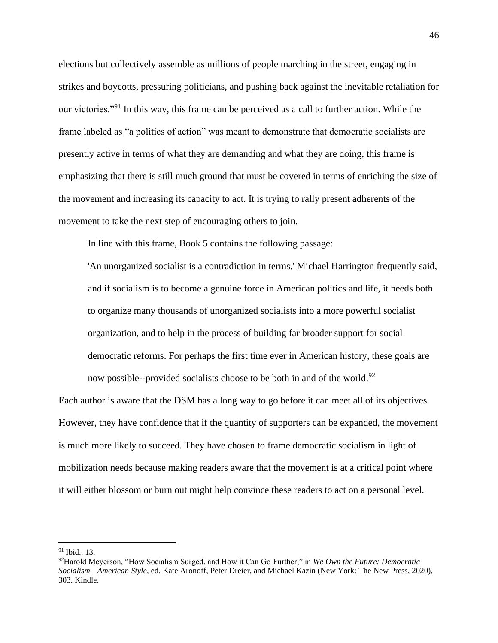elections but collectively assemble as millions of people marching in the street, engaging in strikes and boycotts, pressuring politicians, and pushing back against the inevitable retaliation for our victories."<sup>91</sup> In this way, this frame can be perceived as a call to further action. While the frame labeled as "a politics of action" was meant to demonstrate that democratic socialists are presently active in terms of what they are demanding and what they are doing, this frame is emphasizing that there is still much ground that must be covered in terms of enriching the size of the movement and increasing its capacity to act. It is trying to rally present adherents of the movement to take the next step of encouraging others to join.

In line with this frame, Book 5 contains the following passage:

'An unorganized socialist is a contradiction in terms,' Michael Harrington frequently said, and if socialism is to become a genuine force in American politics and life, it needs both to organize many thousands of unorganized socialists into a more powerful socialist organization, and to help in the process of building far broader support for social democratic reforms. For perhaps the first time ever in American history, these goals are now possible--provided socialists choose to be both in and of the world.<sup>92</sup>

Each author is aware that the DSM has a long way to go before it can meet all of its objectives. However, they have confidence that if the quantity of supporters can be expanded, the movement is much more likely to succeed. They have chosen to frame democratic socialism in light of mobilization needs because making readers aware that the movement is at a critical point where it will either blossom or burn out might help convince these readers to act on a personal level.

 $91$  Ibid., 13.

<sup>92</sup>Harold Meyerson, "How Socialism Surged, and How it Can Go Further," in *We Own the Future: Democratic Socialism—American Style*, ed. Kate Aronoff, Peter Dreier, and Michael Kazin (New York: The New Press, 2020), 303. Kindle.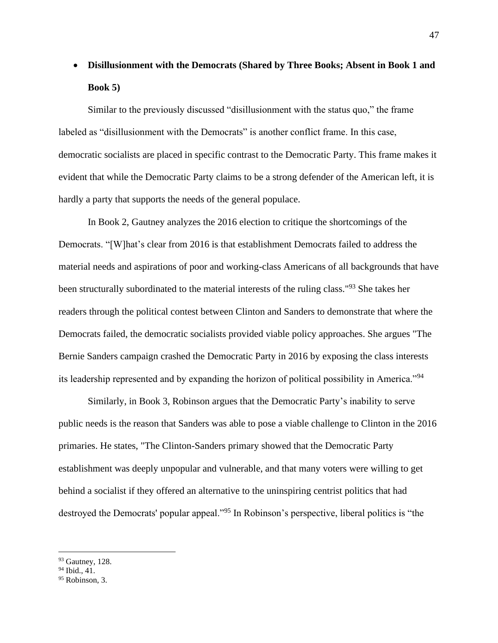# • **Disillusionment with the Democrats (Shared by Three Books; Absent in Book 1 and Book 5)**

Similar to the previously discussed "disillusionment with the status quo," the frame labeled as "disillusionment with the Democrats" is another conflict frame. In this case, democratic socialists are placed in specific contrast to the Democratic Party. This frame makes it evident that while the Democratic Party claims to be a strong defender of the American left, it is hardly a party that supports the needs of the general populace.

In Book 2, Gautney analyzes the 2016 election to critique the shortcomings of the Democrats. "[W]hat's clear from 2016 is that establishment Democrats failed to address the material needs and aspirations of poor and working-class Americans of all backgrounds that have been structurally subordinated to the material interests of the ruling class."<sup>93</sup> She takes her readers through the political contest between Clinton and Sanders to demonstrate that where the Democrats failed, the democratic socialists provided viable policy approaches. She argues "The Bernie Sanders campaign crashed the Democratic Party in 2016 by exposing the class interests its leadership represented and by expanding the horizon of political possibility in America."<sup>94</sup>

Similarly, in Book 3, Robinson argues that the Democratic Party's inability to serve public needs is the reason that Sanders was able to pose a viable challenge to Clinton in the 2016 primaries. He states, "The Clinton-Sanders primary showed that the Democratic Party establishment was deeply unpopular and vulnerable, and that many voters were willing to get behind a socialist if they offered an alternative to the uninspiring centrist politics that had destroyed the Democrats' popular appeal."<sup>95</sup> In Robinson's perspective, liberal politics is "the

 $93$  Gautney, 128.

<sup>&</sup>lt;sup>94</sup> Ibid., 41.

<sup>&</sup>lt;sup>95</sup> Robinson, 3.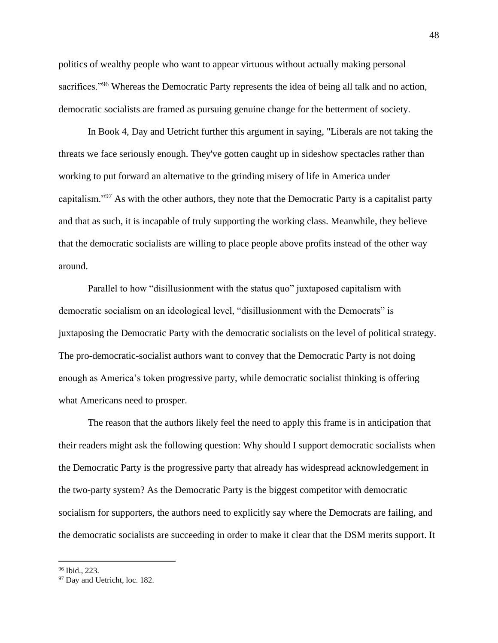politics of wealthy people who want to appear virtuous without actually making personal sacrifices."<sup>96</sup> Whereas the Democratic Party represents the idea of being all talk and no action, democratic socialists are framed as pursuing genuine change for the betterment of society.

In Book 4, Day and Uetricht further this argument in saying, "Liberals are not taking the threats we face seriously enough. They've gotten caught up in sideshow spectacles rather than working to put forward an alternative to the grinding misery of life in America under capitalism."<sup>97</sup> As with the other authors, they note that the Democratic Party is a capitalist party and that as such, it is incapable of truly supporting the working class. Meanwhile, they believe that the democratic socialists are willing to place people above profits instead of the other way around.

Parallel to how "disillusionment with the status quo" juxtaposed capitalism with democratic socialism on an ideological level, "disillusionment with the Democrats" is juxtaposing the Democratic Party with the democratic socialists on the level of political strategy. The pro-democratic-socialist authors want to convey that the Democratic Party is not doing enough as America's token progressive party, while democratic socialist thinking is offering what Americans need to prosper.

The reason that the authors likely feel the need to apply this frame is in anticipation that their readers might ask the following question: Why should I support democratic socialists when the Democratic Party is the progressive party that already has widespread acknowledgement in the two-party system? As the Democratic Party is the biggest competitor with democratic socialism for supporters, the authors need to explicitly say where the Democrats are failing, and the democratic socialists are succeeding in order to make it clear that the DSM merits support. It

<sup>96</sup> Ibid., 223.

<sup>&</sup>lt;sup>97</sup> Day and Uetricht, loc. 182.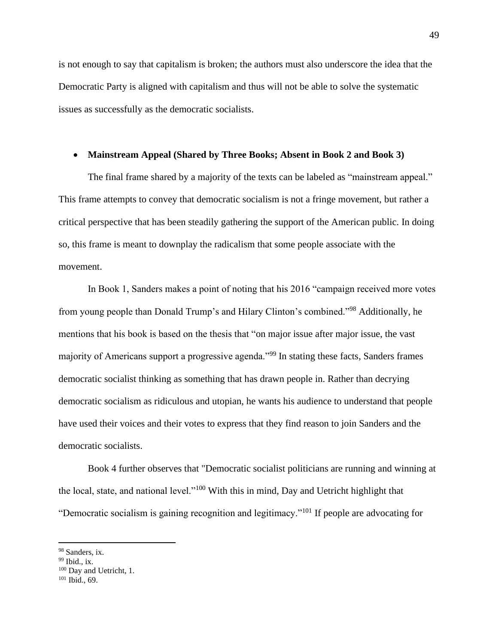is not enough to say that capitalism is broken; the authors must also underscore the idea that the Democratic Party is aligned with capitalism and thus will not be able to solve the systematic issues as successfully as the democratic socialists.

#### • **Mainstream Appeal (Shared by Three Books; Absent in Book 2 and Book 3)**

The final frame shared by a majority of the texts can be labeled as "mainstream appeal." This frame attempts to convey that democratic socialism is not a fringe movement, but rather a critical perspective that has been steadily gathering the support of the American public. In doing so, this frame is meant to downplay the radicalism that some people associate with the movement.

In Book 1, Sanders makes a point of noting that his 2016 "campaign received more votes from young people than Donald Trump's and Hilary Clinton's combined."<sup>98</sup> Additionally, he mentions that his book is based on the thesis that "on major issue after major issue, the vast majority of Americans support a progressive agenda."<sup>99</sup> In stating these facts, Sanders frames democratic socialist thinking as something that has drawn people in. Rather than decrying democratic socialism as ridiculous and utopian, he wants his audience to understand that people have used their voices and their votes to express that they find reason to join Sanders and the democratic socialists.

Book 4 further observes that "Democratic socialist politicians are running and winning at the local, state, and national level."<sup>100</sup> With this in mind, Day and Uetricht highlight that "Democratic socialism is gaining recognition and legitimacy."<sup>101</sup> If people are advocating for

<sup>&</sup>lt;sup>98</sup> Sanders, ix.

 $99$  Ibid., ix.

<sup>&</sup>lt;sup>100</sup> Day and Uetricht, 1.

 $101$  Ibid., 69.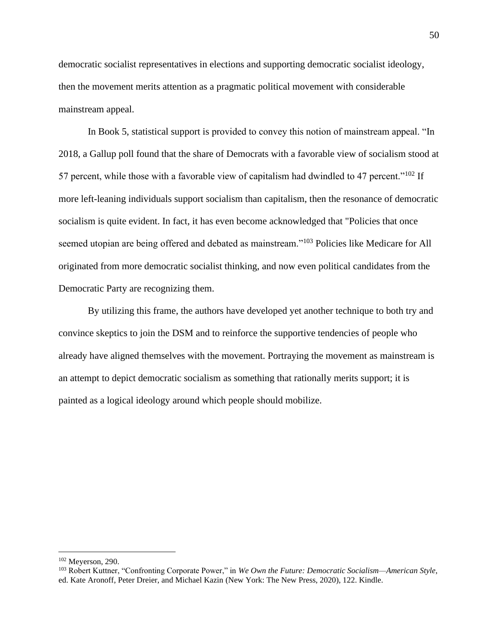democratic socialist representatives in elections and supporting democratic socialist ideology, then the movement merits attention as a pragmatic political movement with considerable mainstream appeal.

In Book 5, statistical support is provided to convey this notion of mainstream appeal. "In 2018, a Gallup poll found that the share of Democrats with a favorable view of socialism stood at 57 percent, while those with a favorable view of capitalism had dwindled to 47 percent."<sup>102</sup> If more left-leaning individuals support socialism than capitalism, then the resonance of democratic socialism is quite evident. In fact, it has even become acknowledged that "Policies that once seemed utopian are being offered and debated as mainstream."<sup>103</sup> Policies like Medicare for All originated from more democratic socialist thinking, and now even political candidates from the Democratic Party are recognizing them.

By utilizing this frame, the authors have developed yet another technique to both try and convince skeptics to join the DSM and to reinforce the supportive tendencies of people who already have aligned themselves with the movement. Portraying the movement as mainstream is an attempt to depict democratic socialism as something that rationally merits support; it is painted as a logical ideology around which people should mobilize.

<sup>102</sup> Meyerson, 290.

<sup>103</sup> Robert Kuttner, "Confronting Corporate Power," in *We Own the Future: Democratic Socialism—American Style*, ed. Kate Aronoff, Peter Dreier, and Michael Kazin (New York: The New Press, 2020), 122. Kindle.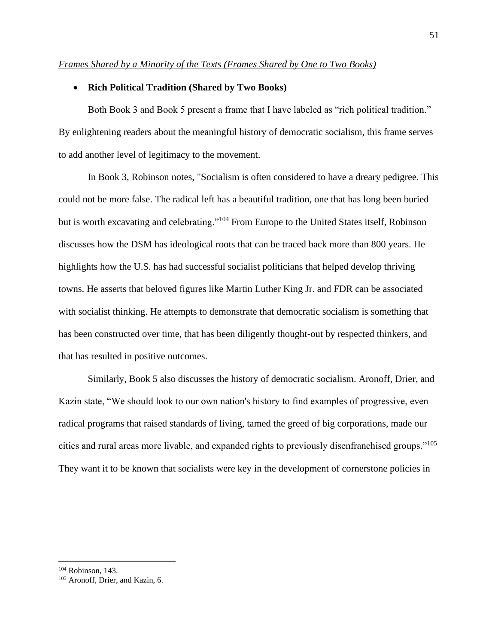#### <span id="page-51-0"></span>*Frames Shared by a Minority of the Texts (Frames Shared by One to Two Books)*

#### • **Rich Political Tradition (Shared by Two Books)**

Both Book 3 and Book 5 present a frame that I have labeled as "rich political tradition." By enlightening readers about the meaningful history of democratic socialism, this frame serves to add another level of legitimacy to the movement.

In Book 3, Robinson notes, "Socialism is often considered to have a dreary pedigree. This could not be more false. The radical left has a beautiful tradition, one that has long been buried but is worth excavating and celebrating."<sup>104</sup> From Europe to the United States itself, Robinson discusses how the DSM has ideological roots that can be traced back more than 800 years. He highlights how the U.S. has had successful socialist politicians that helped develop thriving towns. He asserts that beloved figures like Martin Luther King Jr. and FDR can be associated with socialist thinking. He attempts to demonstrate that democratic socialism is something that has been constructed over time, that has been diligently thought-out by respected thinkers, and that has resulted in positive outcomes.

Similarly, Book 5 also discusses the history of democratic socialism. Aronoff, Drier, and Kazin state, "We should look to our own nation's history to find examples of progressive, even radical programs that raised standards of living, tamed the greed of big corporations, made our cities and rural areas more livable, and expanded rights to previously disenfranchised groups."<sup>105</sup> They want it to be known that socialists were key in the development of cornerstone policies in

<sup>&</sup>lt;sup>104</sup> Robinson, 143.

<sup>105</sup> Aronoff, Drier, and Kazin, 6.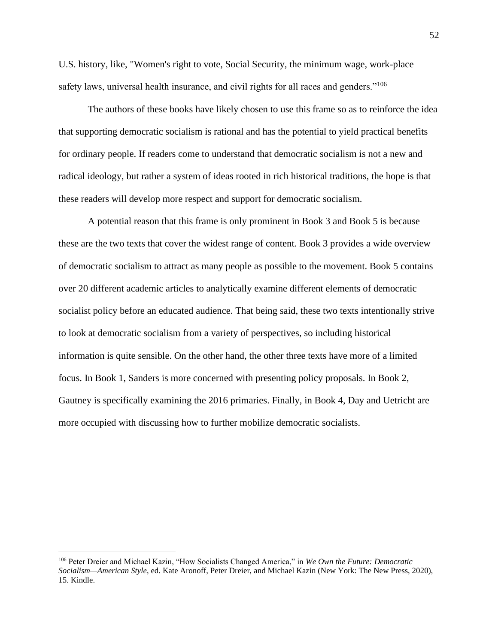U.S. history, like, "Women's right to vote, Social Security, the minimum wage, work-place safety laws, universal health insurance, and civil rights for all races and genders."<sup>106</sup>

The authors of these books have likely chosen to use this frame so as to reinforce the idea that supporting democratic socialism is rational and has the potential to yield practical benefits for ordinary people. If readers come to understand that democratic socialism is not a new and radical ideology, but rather a system of ideas rooted in rich historical traditions, the hope is that these readers will develop more respect and support for democratic socialism.

A potential reason that this frame is only prominent in Book 3 and Book 5 is because these are the two texts that cover the widest range of content. Book 3 provides a wide overview of democratic socialism to attract as many people as possible to the movement. Book 5 contains over 20 different academic articles to analytically examine different elements of democratic socialist policy before an educated audience. That being said, these two texts intentionally strive to look at democratic socialism from a variety of perspectives, so including historical information is quite sensible. On the other hand, the other three texts have more of a limited focus. In Book 1, Sanders is more concerned with presenting policy proposals. In Book 2, Gautney is specifically examining the 2016 primaries. Finally, in Book 4, Day and Uetricht are more occupied with discussing how to further mobilize democratic socialists.

<sup>106</sup> Peter Dreier and Michael Kazin, "How Socialists Changed America," in *We Own the Future: Democratic Socialism—American Style*, ed. Kate Aronoff, Peter Dreier, and Michael Kazin (New York: The New Press, 2020), 15. Kindle.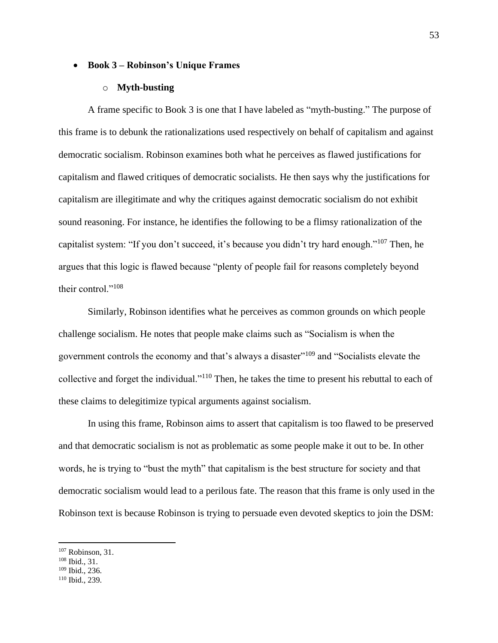#### • **Book 3 – Robinson's Unique Frames**

#### o **Myth-busting**

A frame specific to Book 3 is one that I have labeled as "myth-busting." The purpose of this frame is to debunk the rationalizations used respectively on behalf of capitalism and against democratic socialism. Robinson examines both what he perceives as flawed justifications for capitalism and flawed critiques of democratic socialists. He then says why the justifications for capitalism are illegitimate and why the critiques against democratic socialism do not exhibit sound reasoning. For instance, he identifies the following to be a flimsy rationalization of the capitalist system: "If you don't succeed, it's because you didn't try hard enough."<sup>107</sup> Then, he argues that this logic is flawed because "plenty of people fail for reasons completely beyond their control."<sup>108</sup>

Similarly, Robinson identifies what he perceives as common grounds on which people challenge socialism. He notes that people make claims such as "Socialism is when the government controls the economy and that's always a disaster"<sup>109</sup> and "Socialists elevate the collective and forget the individual."<sup>110</sup> Then, he takes the time to present his rebuttal to each of these claims to delegitimize typical arguments against socialism.

In using this frame, Robinson aims to assert that capitalism is too flawed to be preserved and that democratic socialism is not as problematic as some people make it out to be. In other words, he is trying to "bust the myth" that capitalism is the best structure for society and that democratic socialism would lead to a perilous fate. The reason that this frame is only used in the Robinson text is because Robinson is trying to persuade even devoted skeptics to join the DSM:

 $107$  Robinson, 31.

<sup>108</sup> Ibid., 31.

<sup>109</sup> Ibid., 236.

<sup>110</sup> Ibid., 239.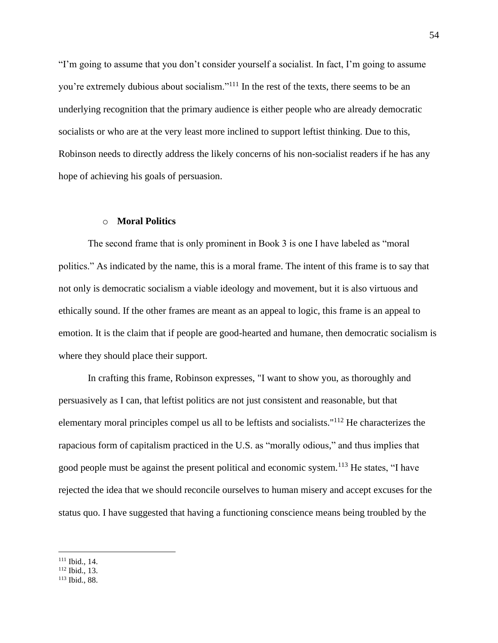"I'm going to assume that you don't consider yourself a socialist. In fact, I'm going to assume you're extremely dubious about socialism."<sup>111</sup> In the rest of the texts, there seems to be an underlying recognition that the primary audience is either people who are already democratic socialists or who are at the very least more inclined to support leftist thinking. Due to this, Robinson needs to directly address the likely concerns of his non-socialist readers if he has any hope of achieving his goals of persuasion.

#### o **Moral Politics**

The second frame that is only prominent in Book 3 is one I have labeled as "moral politics." As indicated by the name, this is a moral frame. The intent of this frame is to say that not only is democratic socialism a viable ideology and movement, but it is also virtuous and ethically sound. If the other frames are meant as an appeal to logic, this frame is an appeal to emotion. It is the claim that if people are good-hearted and humane, then democratic socialism is where they should place their support.

In crafting this frame, Robinson expresses, "I want to show you, as thoroughly and persuasively as I can, that leftist politics are not just consistent and reasonable, but that elementary moral principles compel us all to be leftists and socialists."<sup>112</sup> He characterizes the rapacious form of capitalism practiced in the U.S. as "morally odious," and thus implies that good people must be against the present political and economic system.<sup>113</sup> He states, "I have rejected the idea that we should reconcile ourselves to human misery and accept excuses for the status quo. I have suggested that having a functioning conscience means being troubled by the

<sup>111</sup> Ibid., 14.

<sup>112</sup> Ibid., 13.

<sup>113</sup> Ibid., 88.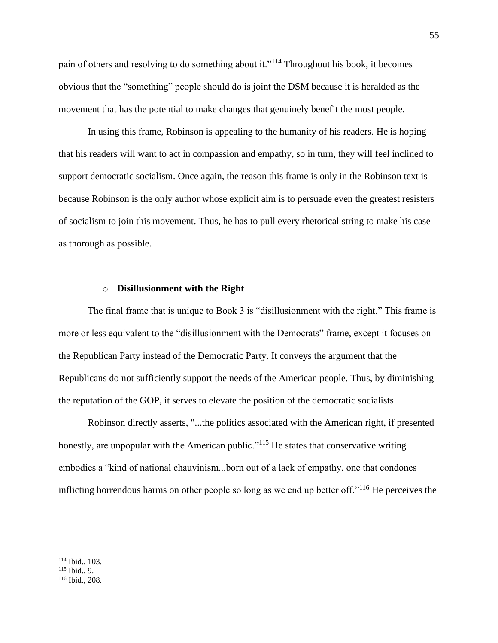pain of others and resolving to do something about it."<sup>114</sup> Throughout his book, it becomes obvious that the "something" people should do is joint the DSM because it is heralded as the movement that has the potential to make changes that genuinely benefit the most people.

In using this frame, Robinson is appealing to the humanity of his readers. He is hoping that his readers will want to act in compassion and empathy, so in turn, they will feel inclined to support democratic socialism. Once again, the reason this frame is only in the Robinson text is because Robinson is the only author whose explicit aim is to persuade even the greatest resisters of socialism to join this movement. Thus, he has to pull every rhetorical string to make his case as thorough as possible.

#### o **Disillusionment with the Right**

The final frame that is unique to Book 3 is "disillusionment with the right." This frame is more or less equivalent to the "disillusionment with the Democrats" frame, except it focuses on the Republican Party instead of the Democratic Party. It conveys the argument that the Republicans do not sufficiently support the needs of the American people. Thus, by diminishing the reputation of the GOP, it serves to elevate the position of the democratic socialists.

Robinson directly asserts, "...the politics associated with the American right, if presented honestly, are unpopular with the American public."<sup>115</sup> He states that conservative writing embodies a "kind of national chauvinism...born out of a lack of empathy, one that condones inflicting horrendous harms on other people so long as we end up better off."<sup>116</sup> He perceives the

<sup>114</sup> Ibid., 103.

<sup>115</sup> Ibid., 9.

<sup>116</sup> Ibid., 208.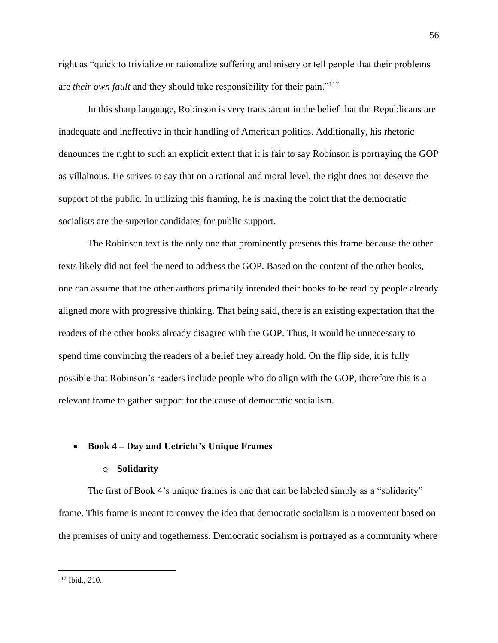right as "quick to trivialize or rationalize suffering and misery or tell people that their problems are *their own fault* and they should take responsibility for their pain."<sup>117</sup>

In this sharp language, Robinson is very transparent in the belief that the Republicans are inadequate and ineffective in their handling of American politics. Additionally, his rhetoric denounces the right to such an explicit extent that it is fair to say Robinson is portraying the GOP as villainous. He strives to say that on a rational and moral level, the right does not deserve the support of the public. In utilizing this framing, he is making the point that the democratic socialists are the superior candidates for public support.

The Robinson text is the only one that prominently presents this frame because the other texts likely did not feel the need to address the GOP. Based on the content of the other books, one can assume that the other authors primarily intended their books to be read by people already aligned more with progressive thinking. That being said, there is an existing expectation that the readers of the other books already disagree with the GOP. Thus, it would be unnecessary to spend time convincing the readers of a belief they already hold. On the flip side, it is fully possible that Robinson's readers include people who do align with the GOP, therefore this is a relevant frame to gather support for the cause of democratic socialism.

#### • **Book 4 – Day and Uetricht's Unique Frames**

#### o **Solidarity**

The first of Book 4's unique frames is one that can be labeled simply as a "solidarity" frame. This frame is meant to convey the idea that democratic socialism is a movement based on the premises of unity and togetherness. Democratic socialism is portrayed as a community where

<sup>117</sup> Ibid., 210.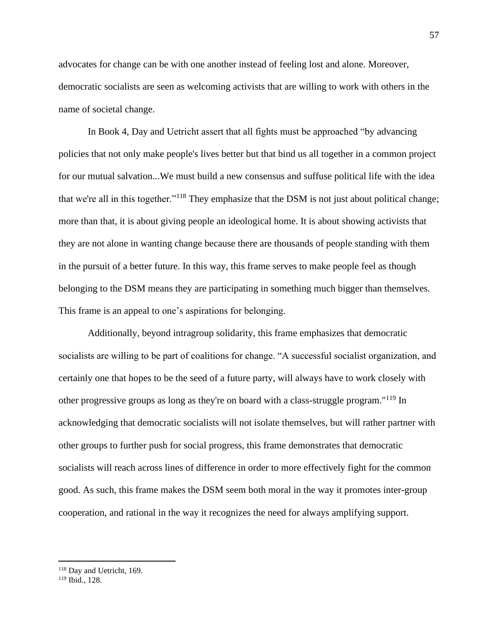advocates for change can be with one another instead of feeling lost and alone. Moreover, democratic socialists are seen as welcoming activists that are willing to work with others in the name of societal change.

In Book 4, Day and Uetricht assert that all fights must be approached "by advancing policies that not only make people's lives better but that bind us all together in a common project for our mutual salvation...We must build a new consensus and suffuse political life with the idea that we're all in this together."<sup>118</sup> They emphasize that the DSM is not just about political change; more than that, it is about giving people an ideological home. It is about showing activists that they are not alone in wanting change because there are thousands of people standing with them in the pursuit of a better future. In this way, this frame serves to make people feel as though belonging to the DSM means they are participating in something much bigger than themselves. This frame is an appeal to one's aspirations for belonging.

Additionally, beyond intragroup solidarity, this frame emphasizes that democratic socialists are willing to be part of coalitions for change. "A successful socialist organization, and certainly one that hopes to be the seed of a future party, will always have to work closely with other progressive groups as long as they're on board with a class-struggle program."<sup>119</sup> In acknowledging that democratic socialists will not isolate themselves, but will rather partner with other groups to further push for social progress, this frame demonstrates that democratic socialists will reach across lines of difference in order to more effectively fight for the common good. As such, this frame makes the DSM seem both moral in the way it promotes inter-group cooperation, and rational in the way it recognizes the need for always amplifying support.

<sup>118</sup> Day and Uetricht, 169.

<sup>119</sup> Ibid., 128.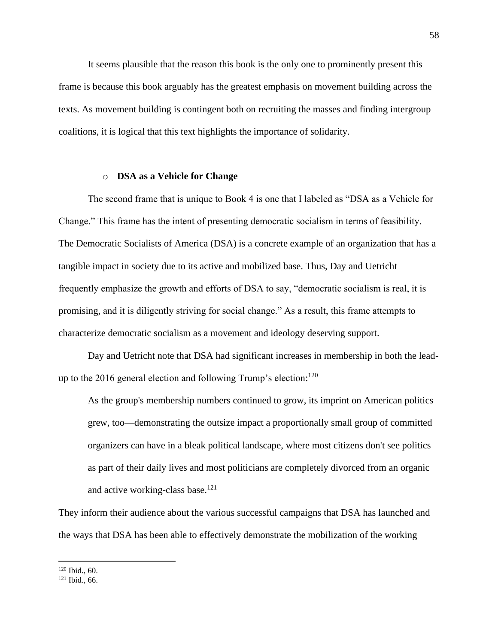It seems plausible that the reason this book is the only one to prominently present this frame is because this book arguably has the greatest emphasis on movement building across the texts. As movement building is contingent both on recruiting the masses and finding intergroup coalitions, it is logical that this text highlights the importance of solidarity.

#### o **DSA as a Vehicle for Change**

The second frame that is unique to Book 4 is one that I labeled as "DSA as a Vehicle for Change." This frame has the intent of presenting democratic socialism in terms of feasibility. The Democratic Socialists of America (DSA) is a concrete example of an organization that has a tangible impact in society due to its active and mobilized base. Thus, Day and Uetricht frequently emphasize the growth and efforts of DSA to say, "democratic socialism is real, it is promising, and it is diligently striving for social change." As a result, this frame attempts to characterize democratic socialism as a movement and ideology deserving support.

Day and Uetricht note that DSA had significant increases in membership in both the leadup to the 2016 general election and following Trump's election:<sup>120</sup>

As the group's membership numbers continued to grow, its imprint on American politics grew, too—demonstrating the outsize impact a proportionally small group of committed organizers can have in a bleak political landscape, where most citizens don't see politics as part of their daily lives and most politicians are completely divorced from an organic and active working-class base.<sup>121</sup>

They inform their audience about the various successful campaigns that DSA has launched and the ways that DSA has been able to effectively demonstrate the mobilization of the working

<sup>120</sup> Ibid., 60.

<sup>121</sup> Ibid., 66.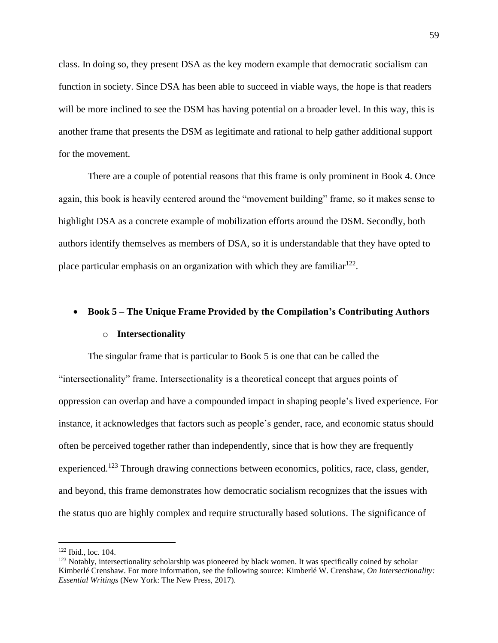class. In doing so, they present DSA as the key modern example that democratic socialism can function in society. Since DSA has been able to succeed in viable ways, the hope is that readers will be more inclined to see the DSM has having potential on a broader level. In this way, this is another frame that presents the DSM as legitimate and rational to help gather additional support for the movement.

There are a couple of potential reasons that this frame is only prominent in Book 4. Once again, this book is heavily centered around the "movement building" frame, so it makes sense to highlight DSA as a concrete example of mobilization efforts around the DSM. Secondly, both authors identify themselves as members of DSA, so it is understandable that they have opted to place particular emphasis on an organization with which they are familiar $^{122}$ .

#### • **Book 5 – The Unique Frame Provided by the Compilation's Contributing Authors**

#### o **Intersectionality**

The singular frame that is particular to Book 5 is one that can be called the "intersectionality" frame. Intersectionality is a theoretical concept that argues points of oppression can overlap and have a compounded impact in shaping people's lived experience. For instance, it acknowledges that factors such as people's gender, race, and economic status should often be perceived together rather than independently, since that is how they are frequently experienced.<sup>123</sup> Through drawing connections between economics, politics, race, class, gender, and beyond, this frame demonstrates how democratic socialism recognizes that the issues with the status quo are highly complex and require structurally based solutions. The significance of

<sup>122</sup> Ibid., loc. 104.

<sup>&</sup>lt;sup>123</sup> Notably, intersectionality scholarship was pioneered by black women. It was specifically coined by scholar Kimberlé Crenshaw. For more information, see the following source: Kimberlé W. Crenshaw, *On Intersectionality: Essential Writings* (New York: The New Press, 2017).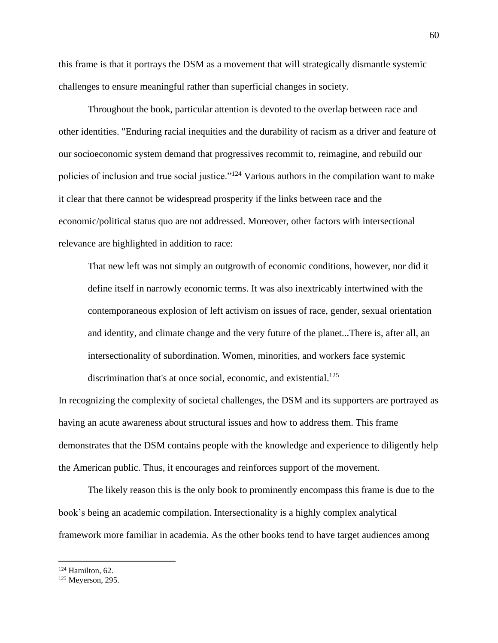this frame is that it portrays the DSM as a movement that will strategically dismantle systemic challenges to ensure meaningful rather than superficial changes in society.

Throughout the book, particular attention is devoted to the overlap between race and other identities. "Enduring racial inequities and the durability of racism as a driver and feature of our socioeconomic system demand that progressives recommit to, reimagine, and rebuild our policies of inclusion and true social justice."<sup>124</sup> Various authors in the compilation want to make it clear that there cannot be widespread prosperity if the links between race and the economic/political status quo are not addressed. Moreover, other factors with intersectional relevance are highlighted in addition to race:

That new left was not simply an outgrowth of economic conditions, however, nor did it define itself in narrowly economic terms. It was also inextricably intertwined with the contemporaneous explosion of left activism on issues of race, gender, sexual orientation and identity, and climate change and the very future of the planet...There is, after all, an intersectionality of subordination. Women, minorities, and workers face systemic discrimination that's at once social, economic, and existential.<sup>125</sup>

In recognizing the complexity of societal challenges, the DSM and its supporters are portrayed as having an acute awareness about structural issues and how to address them. This frame demonstrates that the DSM contains people with the knowledge and experience to diligently help the American public. Thus, it encourages and reinforces support of the movement.

The likely reason this is the only book to prominently encompass this frame is due to the book's being an academic compilation. Intersectionality is a highly complex analytical framework more familiar in academia. As the other books tend to have target audiences among

<sup>124</sup> Hamilton, 62.

 $125$  Meyerson, 295.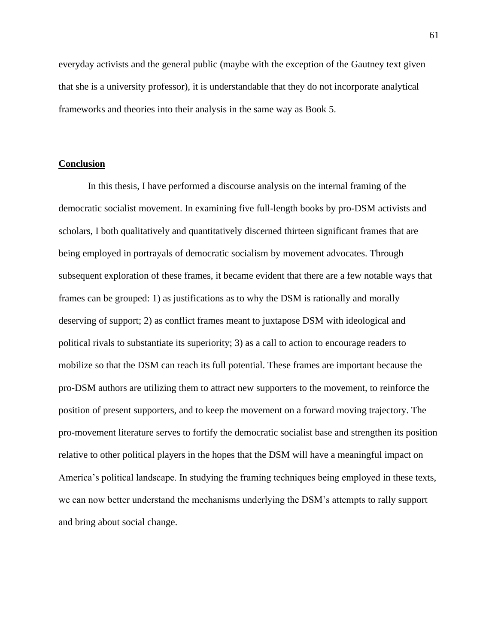everyday activists and the general public (maybe with the exception of the Gautney text given that she is a university professor), it is understandable that they do not incorporate analytical frameworks and theories into their analysis in the same way as Book 5.

#### <span id="page-61-0"></span>**Conclusion**

In this thesis, I have performed a discourse analysis on the internal framing of the democratic socialist movement. In examining five full-length books by pro-DSM activists and scholars, I both qualitatively and quantitatively discerned thirteen significant frames that are being employed in portrayals of democratic socialism by movement advocates. Through subsequent exploration of these frames, it became evident that there are a few notable ways that frames can be grouped: 1) as justifications as to why the DSM is rationally and morally deserving of support; 2) as conflict frames meant to juxtapose DSM with ideological and political rivals to substantiate its superiority; 3) as a call to action to encourage readers to mobilize so that the DSM can reach its full potential. These frames are important because the pro-DSM authors are utilizing them to attract new supporters to the movement, to reinforce the position of present supporters, and to keep the movement on a forward moving trajectory. The pro-movement literature serves to fortify the democratic socialist base and strengthen its position relative to other political players in the hopes that the DSM will have a meaningful impact on America's political landscape. In studying the framing techniques being employed in these texts, we can now better understand the mechanisms underlying the DSM's attempts to rally support and bring about social change.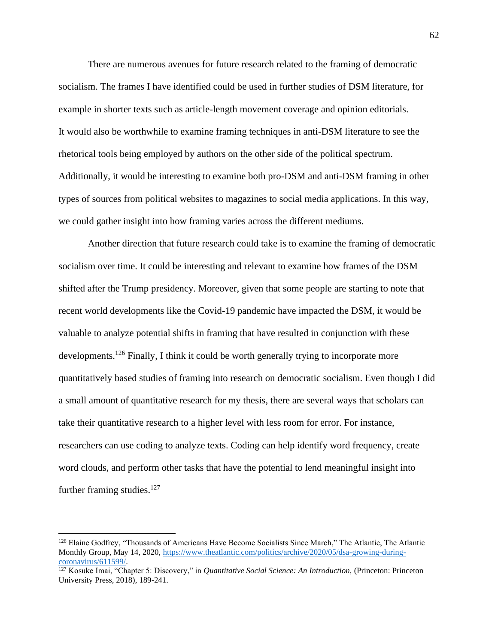There are numerous avenues for future research related to the framing of democratic socialism. The frames I have identified could be used in further studies of DSM literature, for example in shorter texts such as article-length movement coverage and opinion editorials. It would also be worthwhile to examine framing techniques in anti-DSM literature to see the rhetorical tools being employed by authors on the other side of the political spectrum. Additionally, it would be interesting to examine both pro-DSM and anti-DSM framing in other types of sources from political websites to magazines to social media applications. In this way, we could gather insight into how framing varies across the different mediums.

Another direction that future research could take is to examine the framing of democratic socialism over time. It could be interesting and relevant to examine how frames of the DSM shifted after the Trump presidency. Moreover, given that some people are starting to note that recent world developments like the Covid-19 pandemic have impacted the DSM, it would be valuable to analyze potential shifts in framing that have resulted in conjunction with these developments.<sup>126</sup> Finally, I think it could be worth generally trying to incorporate more quantitatively based studies of framing into research on democratic socialism. Even though I did a small amount of quantitative research for my thesis, there are several ways that scholars can take their quantitative research to a higher level with less room for error. For instance, researchers can use coding to analyze texts. Coding can help identify word frequency, create word clouds, and perform other tasks that have the potential to lend meaningful insight into further framing studies. $127$ 

<sup>&</sup>lt;sup>126</sup> Elaine Godfrey, "Thousands of Americans Have Become Socialists Since March," The Atlantic, The Atlantic Monthly Group, May 14, 2020, [https://www.theatlantic.com/politics/archive/2020/05/dsa-growing-during](https://www.theatlantic.com/politics/archive/2020/05/dsa-growing-during-coronavirus/611599/)[coronavirus/611599/.](https://www.theatlantic.com/politics/archive/2020/05/dsa-growing-during-coronavirus/611599/)

<sup>127</sup> Kosuke Imai, "Chapter 5: Discovery," in *Quantitative Social Science: An Introduction,* (Princeton: Princeton University Press, 2018), 189-241.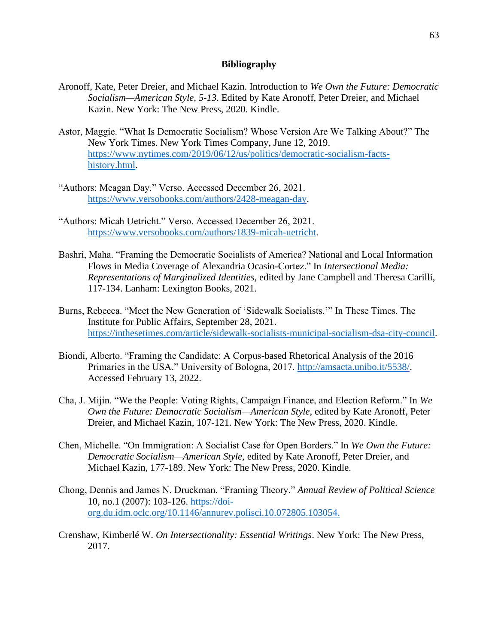#### **Bibliography**

- <span id="page-63-0"></span>Aronoff, Kate, Peter Dreier, and Michael Kazin. Introduction to *We Own the Future: Democratic Socialism—American Style, 5-13*. Edited by Kate Aronoff, Peter Dreier, and Michael Kazin. New York: The New Press, 2020. Kindle.
- Astor, Maggie. "What Is Democratic Socialism? Whose Version Are We Talking About?" The New York Times. New York Times Company, June 12, 2019. [https://www.nytimes.com/2019/06/12/us/politics/democratic-socialism-facts](https://www.nytimes.com/2019/06/12/us/politics/democratic-socialism-facts-history.html)[history.html.](https://www.nytimes.com/2019/06/12/us/politics/democratic-socialism-facts-history.html)
- "Authors: Meagan Day." Verso. Accessed December 26, 2021. [https://www.versobooks.com/authors/2428-meagan-day.](https://www.versobooks.com/authors/2428-meagan-day)
- "Authors: Micah Uetricht." Verso. Accessed December 26, 2021. [https://www.versobooks.com/authors/1839-micah-uetricht.](https://www.versobooks.com/authors/1839-micah-uetricht)
- Bashri, Maha. "Framing the Democratic Socialists of America? National and Local Information Flows in Media Coverage of Alexandria Ocasio-Cortez." In *Intersectional Media: Representations of Marginalized Identities,* edited by Jane Campbell and Theresa Carilli, 117-134. Lanham: Lexington Books, 2021.
- Burns, Rebecca. "Meet the New Generation of 'Sidewalk Socialists.'" In These Times. The Institute for Public Affairs, September 28, 2021. [https://inthesetimes.com/article/sidewalk-socialists-municipal-socialism-dsa-city-council.](https://inthesetimes.com/article/sidewalk-socialists-municipal-socialism-dsa-city-council)
- Biondi, Alberto. "Framing the Candidate: A Corpus-based Rhetorical Analysis of the 2016 Primaries in the USA." University of Bologna, 2017. [http://amsacta.unibo.it/5538/.](http://amsacta.unibo.it/5538/) Accessed February 13, 2022.
- Cha, J. Mijin. "We the People: Voting Rights, Campaign Finance, and Election Reform." In *We Own the Future: Democratic Socialism—American Style*, edited by Kate Aronoff, Peter Dreier, and Michael Kazin, 107-121. New York: The New Press, 2020. Kindle.
- Chen, Michelle. "On Immigration: A Socialist Case for Open Borders." In *We Own the Future: Democratic Socialism—American Style*, edited by Kate Aronoff, Peter Dreier, and Michael Kazin, 177-189. New York: The New Press, 2020. Kindle.
- Chong, Dennis and James N. Druckman. "Framing Theory." *Annual Review of Political Science*  10, no.1 (2007): 103-126. [https://doi](https://doi-org.du.idm.oclc.org/10.1146/annurev.polisci.10.072805.103054)[org.du.idm.oclc.org/10.1146/annurev.polisci.10.072805.103054.](https://doi-org.du.idm.oclc.org/10.1146/annurev.polisci.10.072805.103054)
- Crenshaw, Kimberlé W. *On Intersectionality: Essential Writings*. New York: The New Press, 2017.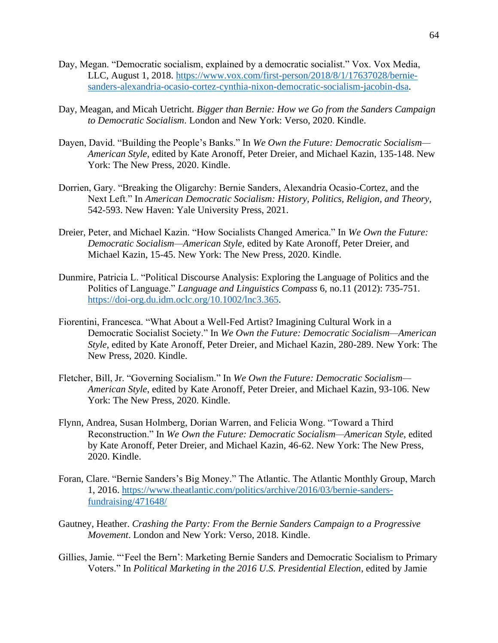- Day, Megan. "Democratic socialism, explained by a democratic socialist." Vox. Vox Media, LLC, August 1, 2018. [https://www.vox.com/first-person/2018/8/1/17637028/bernie](https://www.vox.com/first-person/2018/8/1/17637028/bernie-sanders-alexandria-ocasio-cortez-cynthia-nixon-democratic-socialism-jacobin-dsa)[sanders-alexandria-ocasio-cortez-cynthia-nixon-democratic-socialism-jacobin-dsa.](https://www.vox.com/first-person/2018/8/1/17637028/bernie-sanders-alexandria-ocasio-cortez-cynthia-nixon-democratic-socialism-jacobin-dsa)
- Day, Meagan, and Micah Uetricht. *Bigger than Bernie: How we Go from the Sanders Campaign to Democratic Socialism*. London and New York: Verso, 2020. Kindle.
- Dayen, David. "Building the People's Banks." In *We Own the Future: Democratic Socialism— American Style*, edited by Kate Aronoff, Peter Dreier, and Michael Kazin, 135-148. New York: The New Press, 2020. Kindle.
- Dorrien, Gary. "Breaking the Oligarchy: Bernie Sanders, Alexandria Ocasio-Cortez, and the Next Left." In *American Democratic Socialism: History, Politics, Religion, and Theory*, 542-593. New Haven: Yale University Press, 2021.
- Dreier, Peter, and Michael Kazin. "How Socialists Changed America." In *We Own the Future: Democratic Socialism—American Style*, edited by Kate Aronoff, Peter Dreier, and Michael Kazin, 15-45. New York: The New Press, 2020. Kindle.
- Dunmire, Patricia L. "Political Discourse Analysis: Exploring the Language of Politics and the Politics of Language." *Language and Linguistics Compass* 6, no.11 (2012): 735-751. [https://doi-org.du.idm.oclc.org/10.1002/lnc3.365.](https://doi-org.du.idm.oclc.org/10.1002/lnc3.365)
- Fiorentini, Francesca. "What About a Well-Fed Artist? Imagining Cultural Work in a Democratic Socialist Society." In *We Own the Future: Democratic Socialism—American Style*, edited by Kate Aronoff, Peter Dreier, and Michael Kazin, 280-289. New York: The New Press, 2020. Kindle.
- Fletcher, Bill, Jr. "Governing Socialism." In *We Own the Future: Democratic Socialism— American Style*, edited by Kate Aronoff, Peter Dreier, and Michael Kazin, 93-106. New York: The New Press, 2020. Kindle.
- Flynn, Andrea, Susan Holmberg, Dorian Warren, and Felicia Wong. "Toward a Third Reconstruction." In *We Own the Future: Democratic Socialism—American Style*, edited by Kate Aronoff, Peter Dreier, and Michael Kazin, 46-62. New York: The New Press, 2020. Kindle.
- Foran, Clare. "Bernie Sanders's Big Money." The Atlantic. The Atlantic Monthly Group, March 1, 2016. [https://www.theatlantic.com/politics/archive/2016/03/bernie-sanders](https://www.theatlantic.com/politics/archive/2016/03/bernie-sanders-fundraising/471648/)[fundraising/471648/](https://www.theatlantic.com/politics/archive/2016/03/bernie-sanders-fundraising/471648/)
- Gautney, Heather. *Crashing the Party: From the Bernie Sanders Campaign to a Progressive Movement*. London and New York: Verso, 2018. Kindle.
- Gillies, Jamie. "'Feel the Bern': Marketing Bernie Sanders and Democratic Socialism to Primary Voters." In *Political Marketing in the 2016 U.S. Presidential Election*, edited by Jamie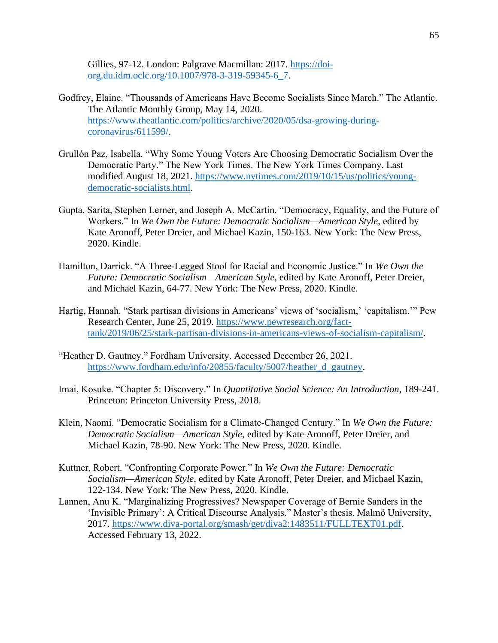Gillies, 97-12. London: Palgrave Macmillan: 2017. [https://doi](https://doi-org.du.idm.oclc.org/10.1007/978-3-319-59345-6_7)[org.du.idm.oclc.org/10.1007/978-3-319-59345-6\\_7.](https://doi-org.du.idm.oclc.org/10.1007/978-3-319-59345-6_7)

- Godfrey, Elaine. "Thousands of Americans Have Become Socialists Since March." The Atlantic. The Atlantic Monthly Group, May 14, 2020. [https://www.theatlantic.com/politics/archive/2020/05/dsa-growing-during](https://www.theatlantic.com/politics/archive/2020/05/dsa-growing-during-coronavirus/611599/)[coronavirus/611599/.](https://www.theatlantic.com/politics/archive/2020/05/dsa-growing-during-coronavirus/611599/)
- Grullón Paz, Isabella. "Why Some Young Voters Are Choosing Democratic Socialism Over the Democratic Party." The New York Times. The New York Times Company. Last modified August 18, 2021. [https://www.nytimes.com/2019/10/15/us/politics/young](https://www.nytimes.com/2019/10/15/us/politics/young-democratic-socialists.html)[democratic-socialists.html.](https://www.nytimes.com/2019/10/15/us/politics/young-democratic-socialists.html)
- Gupta, Sarita, Stephen Lerner, and Joseph A. McCartin. "Democracy, Equality, and the Future of Workers." In *We Own the Future: Democratic Socialism—American Style*, edited by Kate Aronoff, Peter Dreier, and Michael Kazin, 150-163. New York: The New Press, 2020. Kindle.
- Hamilton, Darrick. "A Three-Legged Stool for Racial and Economic Justice." In *We Own the Future: Democratic Socialism—American Style*, edited by Kate Aronoff, Peter Dreier, and Michael Kazin, 64-77. New York: The New Press, 2020. Kindle.
- Hartig, Hannah. "Stark partisan divisions in Americans' views of 'socialism,' 'capitalism.'" Pew Research Center, June 25, 2019. [https://www.pewresearch.org/fact](https://www.pewresearch.org/fact-tank/2019/06/25/stark-partisan-divisions-in-americans-views-of-socialism-capitalism/)[tank/2019/06/25/stark-partisan-divisions-in-americans-views-of-socialism-capitalism/.](https://www.pewresearch.org/fact-tank/2019/06/25/stark-partisan-divisions-in-americans-views-of-socialism-capitalism/)
- "Heather D. Gautney." Fordham University. Accessed December 26, 2021. [https://www.fordham.edu/info/20855/faculty/5007/heather\\_d\\_gautney.](https://www.fordham.edu/info/20855/faculty/5007/heather_d_gautney)
- Imai, Kosuke. "Chapter 5: Discovery." In *Quantitative Social Science: An Introduction,* 189-241. Princeton: Princeton University Press, 2018.
- Klein, Naomi. "Democratic Socialism for a Climate-Changed Century." In *We Own the Future: Democratic Socialism—American Style*, edited by Kate Aronoff, Peter Dreier, and Michael Kazin, 78-90. New York: The New Press, 2020. Kindle.
- Kuttner, Robert. "Confronting Corporate Power." In *We Own the Future: Democratic Socialism—American Style*, edited by Kate Aronoff, Peter Dreier, and Michael Kazin, 122-134. New York: The New Press, 2020. Kindle.
- Lannen, Anu K. "Marginalizing Progressives? Newspaper Coverage of Bernie Sanders in the 'Invisible Primary': A Critical Discourse Analysis." Master's thesis. Malmö University, 2017. [https://www.diva-portal.org/smash/get/diva2:1483511/FULLTEXT01.pdf.](https://www.diva-portal.org/smash/get/diva2:1483511/FULLTEXT01.pdf) Accessed February 13, 2022.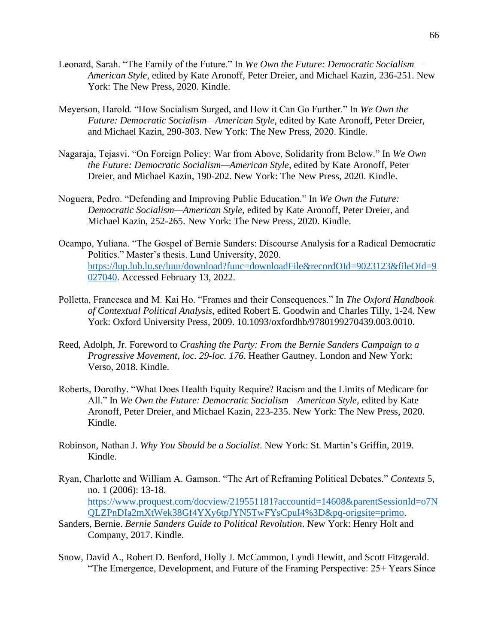- Leonard, Sarah. "The Family of the Future." In *We Own the Future: Democratic Socialism— American Style*, edited by Kate Aronoff, Peter Dreier, and Michael Kazin, 236-251. New York: The New Press, 2020. Kindle.
- Meyerson, Harold. "How Socialism Surged, and How it Can Go Further." In *We Own the Future: Democratic Socialism—American Style*, edited by Kate Aronoff, Peter Dreier, and Michael Kazin, 290-303. New York: The New Press, 2020. Kindle.
- Nagaraja, Tejasvi. "On Foreign Policy: War from Above, Solidarity from Below." In *We Own the Future: Democratic Socialism—American Style*, edited by Kate Aronoff, Peter Dreier, and Michael Kazin, 190-202. New York: The New Press, 2020. Kindle.
- Noguera, Pedro. "Defending and Improving Public Education." In *We Own the Future: Democratic Socialism—American Style*, edited by Kate Aronoff, Peter Dreier, and Michael Kazin, 252-265. New York: The New Press, 2020. Kindle.
- Ocampo, Yuliana. "The Gospel of Bernie Sanders: Discourse Analysis for a Radical Democratic Politics." Master's thesis. Lund University, 2020. [https://lup.lub.lu.se/luur/download?func=downloadFile&recordOId=9023123&fileOId=9](https://lup.lub.lu.se/luur/download?func=downloadFile&recordOId=9023123&fileOId=9027040) [027040.](https://lup.lub.lu.se/luur/download?func=downloadFile&recordOId=9023123&fileOId=9027040) Accessed February 13, 2022.
- Polletta, Francesca and M. Kai Ho. "Frames and their Consequences." In *The Oxford Handbook of Contextual Political Analysis,* edited Robert E. Goodwin and Charles Tilly, 1-24. New York: Oxford University Press, 2009. 10.1093/oxfordhb/9780199270439.003.0010.
- Reed, Adolph, Jr. Foreword to *Crashing the Party: From the Bernie Sanders Campaign to a Progressive Movement*, *loc. 29-loc. 176*. Heather Gautney. London and New York: Verso, 2018. Kindle.
- Roberts, Dorothy. "What Does Health Equity Require? Racism and the Limits of Medicare for All." In *We Own the Future: Democratic Socialism—American Style*, edited by Kate Aronoff, Peter Dreier, and Michael Kazin, 223-235. New York: The New Press, 2020. Kindle.
- Robinson, Nathan J. *Why You Should be a Socialist*. New York: St. Martin's Griffin, 2019. Kindle.
- Ryan, Charlotte and William A. Gamson. "The Art of Reframing Political Debates." *Contexts* 5, no. 1 (2006): 13-18. [https://www.proquest.com/docview/219551181?accountid=14608&parentSessionId=o7N](https://www.proquest.com/docview/219551181?accountid=14608&parentSessionId=o7NQLZPnDIa2mXtWek38Gf4YXy6tpJYN5TwFYsCpuI4%3D&pq-origsite=primo) [QLZPnDIa2mXtWek38Gf4YXy6tpJYN5TwFYsCpuI4%3D&pq-origsite=primo.](https://www.proquest.com/docview/219551181?accountid=14608&parentSessionId=o7NQLZPnDIa2mXtWek38Gf4YXy6tpJYN5TwFYsCpuI4%3D&pq-origsite=primo)
- Sanders, Bernie. *Bernie Sanders Guide to Political Revolution*. New York: Henry Holt and Company, 2017. Kindle.
- Snow, David A., Robert D. Benford, Holly J. McCammon, Lyndi Hewitt, and Scott Fitzgerald. "The Emergence, Development, and Future of the Framing Perspective: 25+ Years Since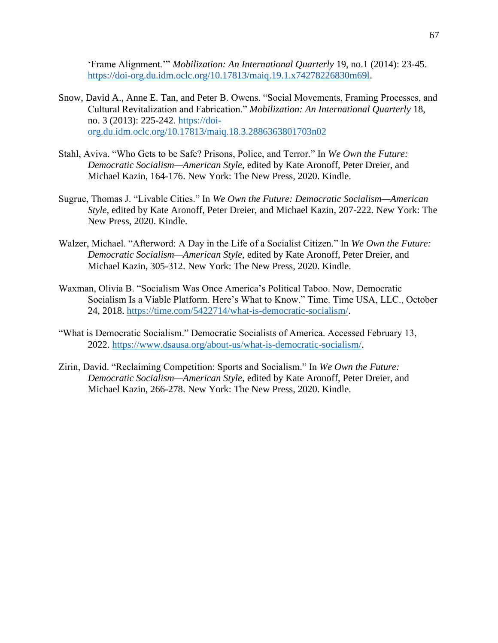'Frame Alignment.'" *Mobilization: An International Quarterly* 19, no.1 (2014): 23-45. [https://doi-org.du.idm.oclc.org/10.17813/maiq.19.1.x74278226830m69l.](https://doi-org.du.idm.oclc.org/10.17813/maiq.19.1.x74278226830m69l)

- Snow, David A., Anne E. Tan, and Peter B. Owens. "Social Movements, Framing Processes, and Cultural Revitalization and Fabrication." *Mobilization: An International Quarterly* 18, no. 3 (2013): 225-242. [https://doi](https://doi-org.du.idm.oclc.org/10.17813/maiq.18.3.2886363801703n02)[org.du.idm.oclc.org/10.17813/maiq.18.3.2886363801703n02](https://doi-org.du.idm.oclc.org/10.17813/maiq.18.3.2886363801703n02)
- Stahl, Aviva. "Who Gets to be Safe? Prisons, Police, and Terror." In *We Own the Future: Democratic Socialism—American Style*, edited by Kate Aronoff, Peter Dreier, and Michael Kazin, 164-176. New York: The New Press, 2020. Kindle.
- Sugrue, Thomas J. "Livable Cities." In *We Own the Future: Democratic Socialism—American Style*, edited by Kate Aronoff, Peter Dreier, and Michael Kazin, 207-222. New York: The New Press, 2020. Kindle.
- Walzer, Michael. "Afterword: A Day in the Life of a Socialist Citizen." In *We Own the Future: Democratic Socialism—American Style*, edited by Kate Aronoff, Peter Dreier, and Michael Kazin, 305-312. New York: The New Press, 2020. Kindle.
- Waxman, Olivia B. "Socialism Was Once America's Political Taboo. Now, Democratic Socialism Is a Viable Platform. Here's What to Know." Time. Time USA, LLC., October 24, 2018. [https://time.com/5422714/what-is-democratic-socialism/.](https://time.com/5422714/what-is-democratic-socialism/)
- "What is Democratic Socialism." Democratic Socialists of America. Accessed February 13, 2022. [https://www.dsausa.org/about-us/what-is-democratic-socialism/.](https://www.dsausa.org/about-us/what-is-democratic-socialism/)
- Zirin, David. "Reclaiming Competition: Sports and Socialism." In *We Own the Future: Democratic Socialism—American Style*, edited by Kate Aronoff, Peter Dreier, and Michael Kazin, 266-278. New York: The New Press, 2020. Kindle.